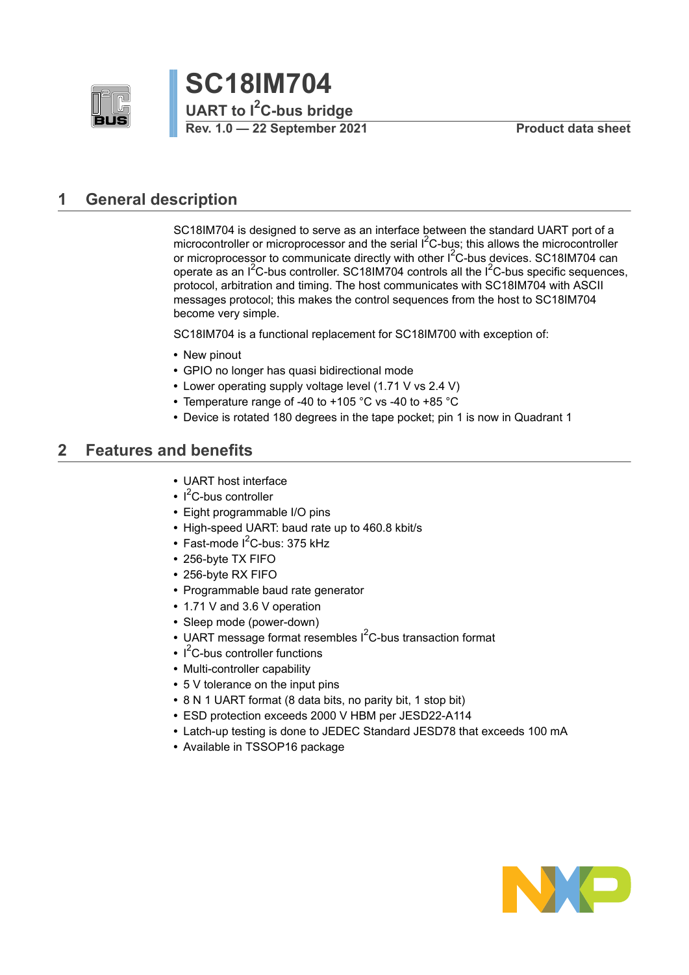



# <span id="page-0-0"></span>**1 General description**

SC18IM704 is designed to serve as an interface between the standard UART port of a microcontroller or microprocessor and the serial  $I<sup>2</sup>C-bus$ ; this allows the microcontroller or microprocessor to communicate directly with other I<sup>2</sup>C-bus devices. SC18IM704 can operate as an  $I^2C$ -bus controller. SC18IM704 controls all the  $I^2C$ -bus specific sequences, protocol, arbitration and timing. The host communicates with SC18IM704 with ASCII messages protocol; this makes the control sequences from the host to SC18IM704 become very simple.

SC18IM704 is a functional replacement for SC18IM700 with exception of:

- **•** New pinout
- **•** GPIO no longer has quasi bidirectional mode
- **•** Lower operating supply voltage level (1.71 V vs 2.4 V)
- **•** Temperature range of -40 to +105 °C vs -40 to +85 °C
- **•** Device is rotated 180 degrees in the tape pocket; pin 1 is now in Quadrant 1

# <span id="page-0-1"></span>**2 Features and benefits**

- **•** UART host interface
- **•** I <sup>2</sup>C-bus controller
- **•** Eight programmable I/O pins
- **•** High-speed UART: baud rate up to 460.8 kbit/s
- Fast-mode I<sup>2</sup>C-bus: 375 kHz
- **•** 256-byte TX FIFO
- **•** 256-byte RX FIFO
- **•** Programmable baud rate generator
- **•** 1.71 V and 3.6 V operation
- **•** Sleep mode (power-down)
- **•** UART message format resembles I <sup>2</sup>C-bus transaction format
- **•** I <sup>2</sup>C-bus controller functions
- **•** Multi-controller capability
- **•** 5 V tolerance on the input pins
- **•** 8 N 1 UART format (8 data bits, no parity bit, 1 stop bit)
- **•** ESD protection exceeds 2000 V HBM per JESD22-A114
- **•** Latch-up testing is done to JEDEC Standard JESD78 that exceeds 100 mA
- **•** Available in TSSOP16 package

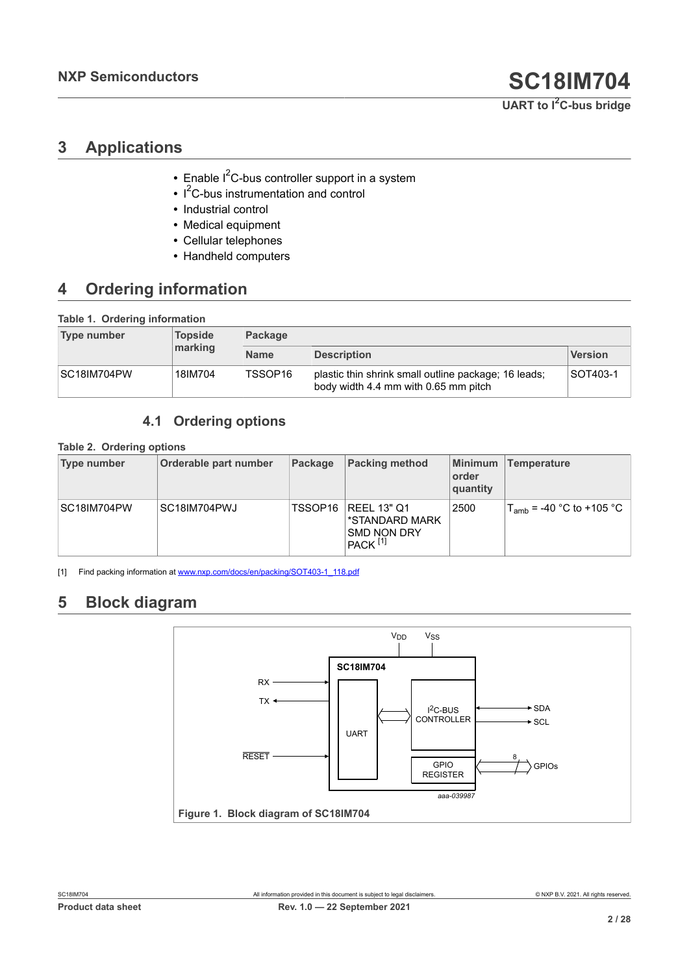# <span id="page-1-4"></span><span id="page-1-0"></span>**3 Applications**

- Enable I<sup>2</sup>C-bus controller support in a system
- **•** I <sup>2</sup>C-bus instrumentation and control
- **•** Industrial control
- **•** Medical equipment
- **•** Cellular telephones
- <span id="page-1-1"></span>**•** Handheld computers

# <span id="page-1-5"></span>**4 Ordering information**

### **Table 1. Ordering information**

| Type number | <b>Topside</b> | <b>Package</b> |                                                                                              |                |  |  |  |  |
|-------------|----------------|----------------|----------------------------------------------------------------------------------------------|----------------|--|--|--|--|
|             | marking        | <b>Name</b>    | <b>Description</b>                                                                           | <b>Version</b> |  |  |  |  |
| SC18IM704PW | 18IM704        | TSSOP16        | plastic thin shrink small outline package; 16 leads;<br>body width 4.4 mm with 0.65 mm pitch | SOT403-1       |  |  |  |  |

### <span id="page-1-6"></span><span id="page-1-2"></span>**4.1 Ordering options**

### **Table 2. Ordering options**

| Type number | Orderable part number | Package | <b>Packing method</b>                                                               | Minimum<br>order<br>quantity | Temperature                               |
|-------------|-----------------------|---------|-------------------------------------------------------------------------------------|------------------------------|-------------------------------------------|
| SC18IM704PW | SC18IM704PWJ          | TSSOP16 | <b>REEL 13" Q1</b><br>*STANDARD MARK<br><b>SMD NON DRY</b><br>$PACK$ <sup>[1]</sup> | 2500                         | $T_{\text{amb}}$ = -40 °C to +105 °C $\,$ |

[1] Find packing information at [www.nxp.com/docs/en/packing/SOT403-1\\_118.pdf](http://www.nxp.com/docs/en/packing/SOT403-1_118.pdf)

# <span id="page-1-7"></span>**5 Block diagram**

<span id="page-1-3"></span>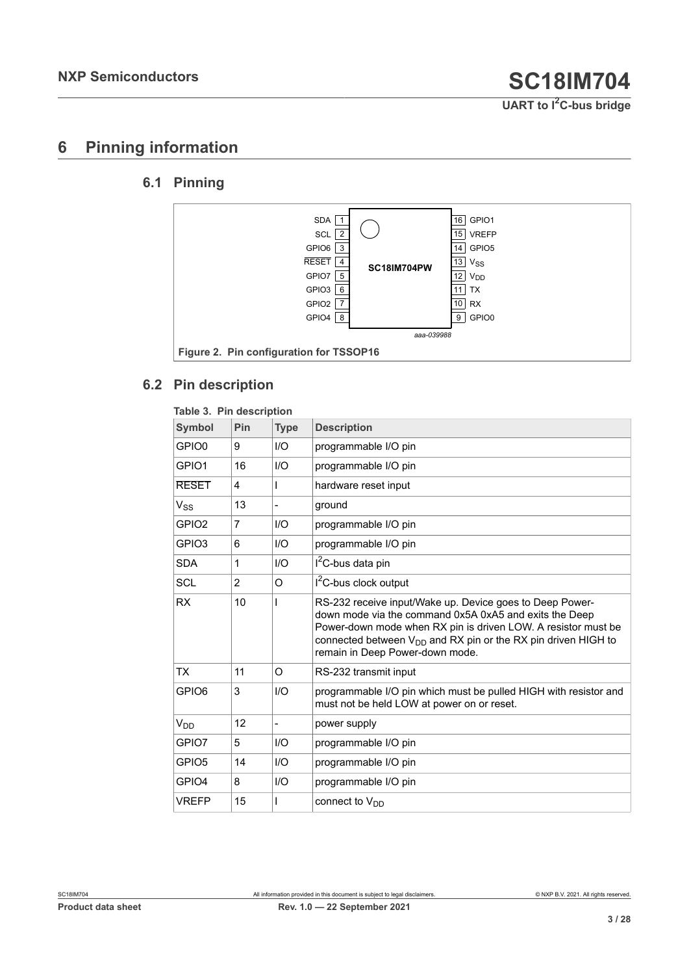# <span id="page-2-2"></span>**6 Pinning information**

## **6.1 Pinning**

<span id="page-2-3"></span><span id="page-2-1"></span>

### <span id="page-2-4"></span>**6.2 Pin description**

<span id="page-2-0"></span>

| Table 3. Pin description |                |                |                                                                                                                                                                                                                                                                                              |
|--------------------------|----------------|----------------|----------------------------------------------------------------------------------------------------------------------------------------------------------------------------------------------------------------------------------------------------------------------------------------------|
| <b>Symbol</b>            | Pin            | <b>Type</b>    | <b>Description</b>                                                                                                                                                                                                                                                                           |
| GPIO <sub>0</sub>        | 9              | I/O            | programmable I/O pin                                                                                                                                                                                                                                                                         |
| GPIO1                    | 16             | I/O            | programmable I/O pin                                                                                                                                                                                                                                                                         |
| <b>RESET</b>             | 4              |                | hardware reset input                                                                                                                                                                                                                                                                         |
| $V_{SS}$                 | 13             |                | ground                                                                                                                                                                                                                                                                                       |
| GPIO <sub>2</sub>        | 7              | I/O            | programmable I/O pin                                                                                                                                                                                                                                                                         |
| GPIO <sub>3</sub>        | 6              | 1/O            | programmable I/O pin                                                                                                                                                                                                                                                                         |
| <b>SDA</b>               | 1              | I/O            | $I2C$ -bus data pin                                                                                                                                                                                                                                                                          |
| <b>SCL</b>               | $\overline{2}$ | O              | $I2C$ -bus clock output                                                                                                                                                                                                                                                                      |
| <b>RX</b>                | 10             |                | RS-232 receive input/Wake up. Device goes to Deep Power-<br>down mode via the command 0x5A 0xA5 and exits the Deep<br>Power-down mode when RX pin is driven LOW. A resistor must be<br>connected between $V_{DD}$ and RX pin or the RX pin driven HIGH to<br>remain in Deep Power-down mode. |
| <b>TX</b>                | 11             | O              | RS-232 transmit input                                                                                                                                                                                                                                                                        |
| GPIO <sub>6</sub>        | 3              | I/O            | programmable I/O pin which must be pulled HIGH with resistor and<br>must not be held LOW at power on or reset.                                                                                                                                                                               |
| $V_{DD}$                 | 12             | $\overline{a}$ | power supply                                                                                                                                                                                                                                                                                 |
| GPIO7                    | 5              | I/O            | programmable I/O pin                                                                                                                                                                                                                                                                         |
| GPIO <sub>5</sub>        | 14             | I/O            | programmable I/O pin                                                                                                                                                                                                                                                                         |
| GPIO4                    | 8              | I/O            | programmable I/O pin                                                                                                                                                                                                                                                                         |
| <b>VREFP</b>             | 15             |                | connect to $V_{DD}$                                                                                                                                                                                                                                                                          |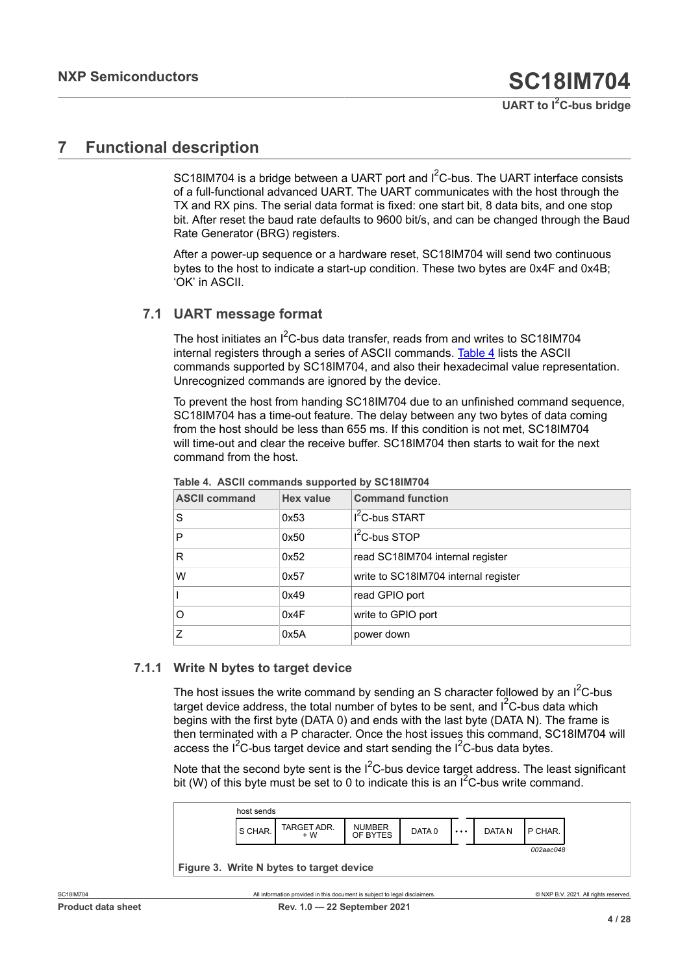# <span id="page-3-2"></span>**7 Functional description**

SC18IM704 is a bridge between a UART port and I<sup>2</sup>C-bus. The UART interface consists of a full-functional advanced UART. The UART communicates with the host through the TX and RX pins. The serial data format is fixed: one start bit, 8 data bits, and one stop bit. After reset the baud rate defaults to 9600 bit/s, and can be changed through the Baud Rate Generator (BRG) registers.

After a power-up sequence or a hardware reset, SC18IM704 will send two continuous bytes to the host to indicate a start-up condition. These two bytes are 0x4F and 0x4B; 'OK' in ASCII.

### **7.1 UART message format**

<span id="page-3-3"></span>The host initiates an  $1^2$ C-bus data transfer, reads from and writes to SC18IM704 internal registers through a series of ASCII commands. [Table](#page-3-0) 4 lists the ASCII commands supported by SC18IM704, and also their hexadecimal value representation. Unrecognized commands are ignored by the device.

To prevent the host from handing SC18IM704 due to an unfinished command sequence, SC18IM704 has a time-out feature. The delay between any two bytes of data coming from the host should be less than 655 ms. If this condition is not met, SC18IM704 will time-out and clear the receive buffer. SC18IM704 then starts to wait for the next command from the host.

| <b>ASCII command</b> | <b>Hex value</b> | <b>Command function</b>              |
|----------------------|------------------|--------------------------------------|
| S                    | 0x53             | $I2C$ -bus START                     |
| P                    | 0x50             | $I2C-bus STOP$                       |
| R                    | 0x52             | read SC18IM704 internal register     |
| W                    | 0x57             | write to SC18IM704 internal register |
|                      | 0x49             | read GPIO port                       |
| O                    | 0x4F             | write to GPIO port                   |
| 7                    | 0x5A             | power down                           |

<span id="page-3-0"></span>**Table 4. ASCII commands supported by SC18IM704**

### **7.1.1 Write N bytes to target device**

<span id="page-3-4"></span>The host issues the write command by sending an S character followed by an  $I^2C$ -bus target device address, the total number of bytes to be sent, and  $I<sup>2</sup>C$ -bus data which begins with the first byte (DATA 0) and ends with the last byte (DATA N). The frame is then terminated with a P character. Once the host issues this command, SC18IM704 will access the  $I^2C$ -bus target device and start sending the  $I^2C$ -bus data bytes.

Note that the second byte sent is the  $I^2C$ -bus device target address. The least significant bit (W) of this byte must be set to 0 to indicate this is an  $I^2C$ -bus write command.

<span id="page-3-1"></span>

| <b>NUMBER</b><br>TARGET ADR.<br>l S CHAR.<br>DATA N<br>P CHAR.<br>DATA 0<br>$\cdots$<br>$+W$<br>OF BYTES |
|----------------------------------------------------------------------------------------------------------|
|----------------------------------------------------------------------------------------------------------|

**Figure 3. Write N bytes to target device**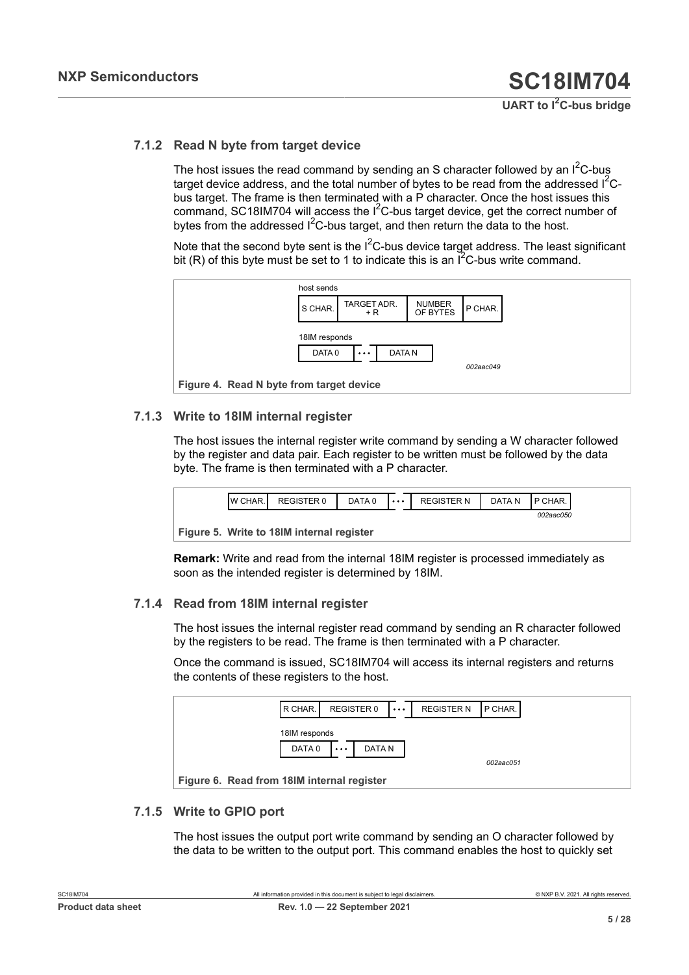### **7.1.2 Read N byte from target device**

<span id="page-4-3"></span>The host issues the read command by sending an S character followed by an  $I^2C$ -bus target device address, and the total number of bytes to be read from the addressed  $1^2C$ bus target. The frame is then terminated with a P character. Once the host issues this command, SC18IM704 will access the  $I<sup>2</sup>C$ -bus target device, get the correct number of bytes from the addressed  $I^2C$ -bus target, and then return the data to the host.

Note that the second byte sent is the  $I^2C$ -bus device target address. The least significant bit (R) of this byte must be set to 1 to indicate this is an  $I^2C$ -bus write command.

<span id="page-4-0"></span>

### **7.1.3 Write to 18IM internal register**

<span id="page-4-4"></span>The host issues the internal register write command by sending a W character followed by the register and data pair. Each register to be written must be followed by the data byte. The frame is then terminated with a P character.

<span id="page-4-1"></span>

**Figure 5. Write to 18IM internal register**

**Remark:** Write and read from the internal 18IM register is processed immediately as soon as the intended register is determined by 18IM.

### **7.1.4 Read from 18IM internal register**

<span id="page-4-5"></span>The host issues the internal register read command by sending an R character followed by the registers to be read. The frame is then terminated with a P character.

Once the command is issued, SC18IM704 will access its internal registers and returns the contents of these registers to the host.

<span id="page-4-2"></span>

| R CHAR.                                    | REGISTER 0         | $\cdots$ | <b>REGISTER N</b> | P CHAR.   |  |
|--------------------------------------------|--------------------|----------|-------------------|-----------|--|
| 18IM responds                              |                    |          |                   |           |  |
| DATA 0                                     | DATA N<br>$\cdots$ |          |                   | 002aac051 |  |
| Figure 6. Read from 18IM internal register |                    |          |                   |           |  |

### **7.1.5 Write to GPIO port**

<span id="page-4-6"></span>The host issues the output port write command by sending an O character followed by the data to be written to the output port. This command enables the host to quickly set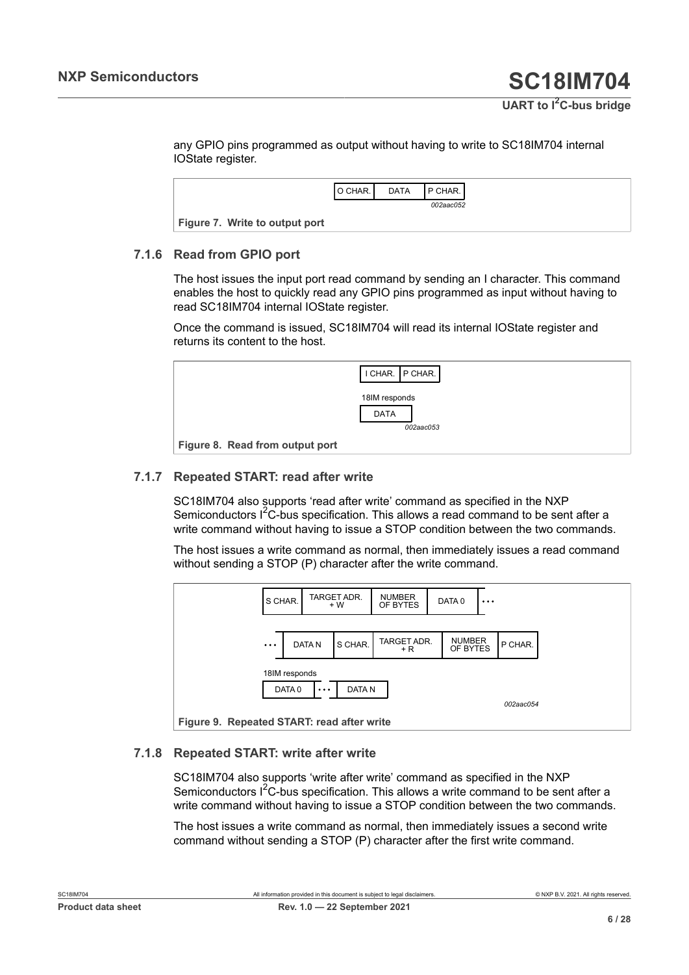any GPIO pins programmed as output without having to write to SC18IM704 internal IOState register.

<span id="page-5-0"></span>

|                                | O CHAR. | <b>DATA</b> | <b>IP CHAR.</b> |
|--------------------------------|---------|-------------|-----------------|
|                                |         |             | 002aac052       |
| Figure 7. Write to output port |         |             |                 |

### **7.1.6 Read from GPIO port**

<span id="page-5-3"></span>The host issues the input port read command by sending an I character. This command enables the host to quickly read any GPIO pins programmed as input without having to read SC18IM704 internal IOState register.

Once the command is issued, SC18IM704 will read its internal IOState register and returns its content to the host.

<span id="page-5-1"></span>

### **7.1.7 Repeated START: read after write**

<span id="page-5-4"></span>SC18IM704 also supports 'read after write' command as specified in the NXP Semiconductors  $I^2C$ -bus specification. This allows a read command to be sent after a write command without having to issue a STOP condition between the two commands.

The host issues a write command as normal, then immediately issues a read command without sending a STOP (P) character after the write command.

<span id="page-5-2"></span>

### **7.1.8 Repeated START: write after write**

<span id="page-5-5"></span>SC18IM704 also supports 'write after write' command as specified in the NXP Semiconductors I<sup>2</sup>C-bus specification. This allows a write command to be sent after a write command without having to issue a STOP condition between the two commands.

The host issues a write command as normal, then immediately issues a second write command without sending a STOP (P) character after the first write command.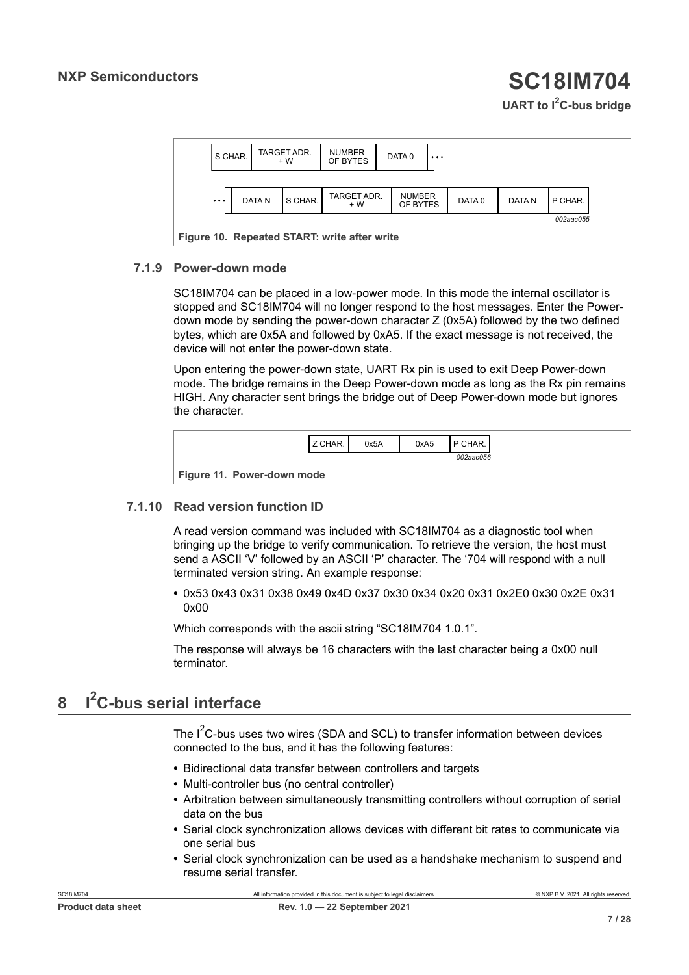<span id="page-6-0"></span>

### **7.1.9 Power-down mode**

<span id="page-6-2"></span>SC18IM704 can be placed in a low-power mode. In this mode the internal oscillator is stopped and SC18IM704 will no longer respond to the host messages. Enter the Powerdown mode by sending the power-down character Z (0x5A) followed by the two defined bytes, which are 0x5A and followed by 0xA5. If the exact message is not received, the device will not enter the power-down state.

Upon entering the power-down state, UART Rx pin is used to exit Deep Power-down mode. The bridge remains in the Deep Power-down mode as long as the Rx pin remains HIGH. Any character sent brings the bridge out of Deep Power-down mode but ignores the character.

<span id="page-6-1"></span>

| Z CHAR.                    | 0x5A | 0xA5 | <b>IP CHAR.</b> |
|----------------------------|------|------|-----------------|
|                            |      |      | 002aac056       |
| Figure 11. Power-down mode |      |      |                 |

### **7.1.10 Read version function ID**

<span id="page-6-3"></span>A read version command was included with SC18IM704 as a diagnostic tool when bringing up the bridge to verify communication. To retrieve the version, the host must send a ASCII 'V' followed by an ASCII 'P' character. The '704 will respond with a null terminated version string. An example response:

**•** 0x53 0x43 0x31 0x38 0x49 0x4D 0x37 0x30 0x34 0x20 0x31 0x2E0 0x30 0x2E 0x31 0x00

Which corresponds with the ascii string "SC18IM704 1.0.1".

The response will always be 16 characters with the last character being a 0x00 null terminator.

#### <span id="page-6-4"></span>**8 I <sup>2</sup>C-bus serial interface**

The  $I^2C$ -bus uses two wires (SDA and SCL) to transfer information between devices connected to the bus, and it has the following features:

- **•** Bidirectional data transfer between controllers and targets
- **•** Multi-controller bus (no central controller)
- **•** Arbitration between simultaneously transmitting controllers without corruption of serial data on the bus
- **•** Serial clock synchronization allows devices with different bit rates to communicate via one serial bus
- **•** Serial clock synchronization can be used as a handshake mechanism to suspend and resume serial transfer.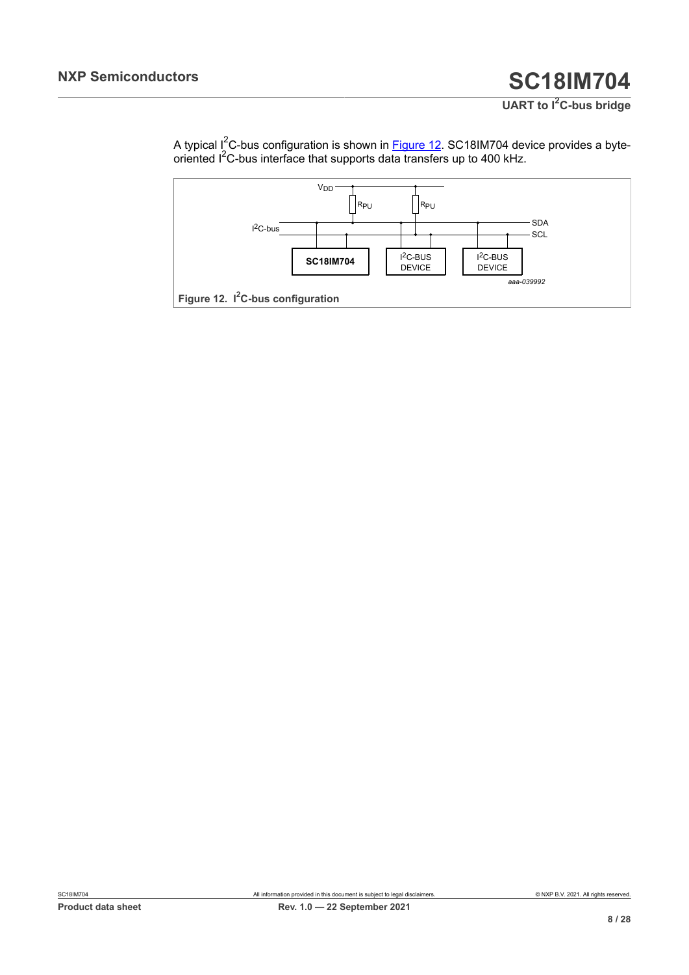**UART to I2C-bus bridge**

A typical I<sup>2</sup>C-bus configuration is shown in <u>Figure 12</u>. SC18IM704 device provides a byteoriented  $I^2$ C-bus interface that supports data transfers up to 400 kHz.

<span id="page-7-0"></span>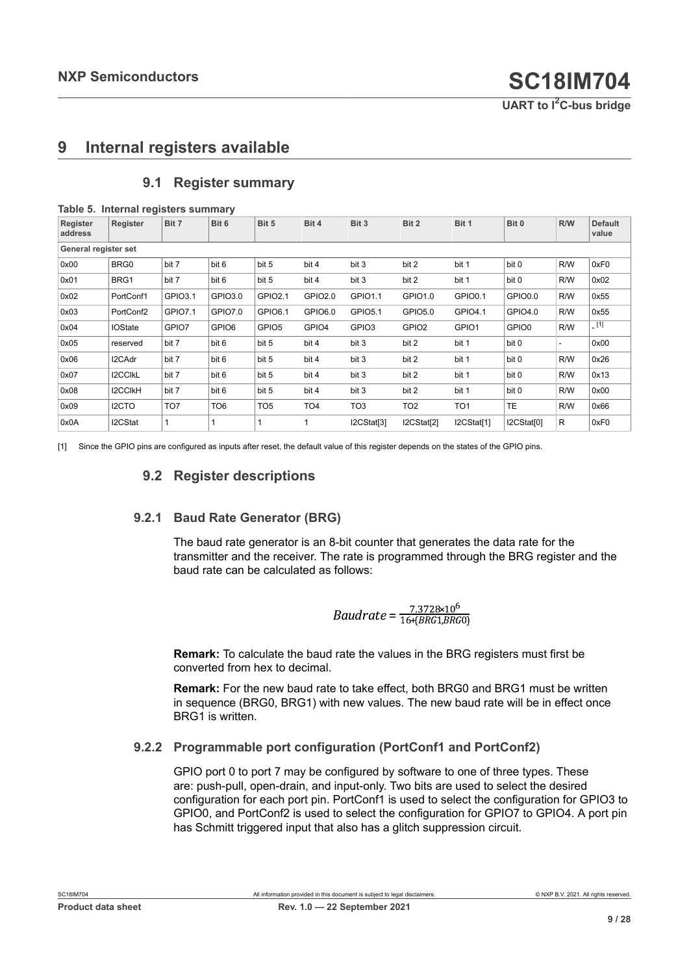## <span id="page-8-2"></span>**9 Internal registers available**

|                      | Table 5. Internal registers summary |                |                 |                   |                 |                   |                   |                 |            |     |                         |
|----------------------|-------------------------------------|----------------|-----------------|-------------------|-----------------|-------------------|-------------------|-----------------|------------|-----|-------------------------|
| Register<br>address  | Register                            | Bit 7          | Bit 6           | Bit 5             | Bit 4           | Bit 3             | Bit 2             | Bit 1           | Bit 0      | R/W | <b>Default</b><br>value |
| General register set |                                     |                |                 |                   |                 |                   |                   |                 |            |     |                         |
| 0x00                 | BRG0                                | bit 7          | bit 6           | bit 5             | bit 4           | bit 3             | bit 2             | bit 1           | bit 0      | R/W | 0xF0                    |
| 0x01                 | BRG1                                | bit 7          | bit 6           | bit 5             | bit 4           | bit 3             | bit 2             | bit 1           | bit 0      | R/W | 0x02                    |
| 0x02                 | PortConf1                           | GPIO3.1        | GPIO3.0         | GPIO2.1           | GPIO2.0         | GPIO1.1           | GPIO1.0           | GPIO0.1         | GPIO0.0    | R/W | 0x55                    |
| 0x03                 | PortConf2                           | <b>GPIO7.1</b> | GPIO7.0         | GPIO6.1           | GPIO6.0         | <b>GPIO5.1</b>    | GPIO5.0           | GPIO4.1         | GPIO4.0    | R/W | 0x55                    |
| 0x04                 | <b>IOState</b>                      | GPIO7          | GPIO6           | GPIO <sub>5</sub> | GPIO4           | GPIO <sub>3</sub> | GPIO <sub>2</sub> | GPIO1           | GPIO0      | R/W | [1]                     |
| 0x05                 | reserved                            | bit 7          | bit 6           | bit 5             | bit 4           | bit 3             | bit 2             | bit 1           | bit 0      | ٠   | 0x00                    |
| 0x06                 | I2CAdr                              | bit 7          | bit 6           | bit 5             | bit 4           | bit 3             | bit 2             | bit 1           | bit 0      | R/W | 0x26                    |
| 0x07                 | <b>I2CCIKL</b>                      | bit 7          | bit 6           | bit 5             | bit 4           | bit 3             | bit 2             | bit 1           | bit 0      | R/W | 0x13                    |
| 0x08                 | <b>I2CCIKH</b>                      | bit 7          | bit 6           | bit 5             | bit 4           | bit 3             | bit 2             | bit 1           | bit 0      | R/W | 0x00                    |
| 0x09                 | I2CTO                               | TO7            | TO <sub>6</sub> | TO <sub>5</sub>   | TO <sub>4</sub> | TO3               | TO <sub>2</sub>   | TO <sub>1</sub> | <b>TE</b>  | R/W | 0x66                    |
| 0x0A                 | I2CStat                             |                | 1               |                   |                 | I2CStat[3]        | I2CStat[2]        | I2CStat[1]      | I2CStat[0] | R   | 0xF0                    |

### <span id="page-8-3"></span><span id="page-8-1"></span><span id="page-8-0"></span>**9.1 Register summary**

[1] Since the GPIO pins are configured as inputs after reset, the default value of this register depends on the states of the GPIO pins.

### <span id="page-8-4"></span>**9.2 Register descriptions**

### **9.2.1 Baud Rate Generator (BRG)**

<span id="page-8-5"></span>The baud rate generator is an 8-bit counter that generates the data rate for the transmitter and the receiver. The rate is programmed through the BRG register and the baud rate can be calculated as follows:

Baudrate = 
$$
\frac{7.3728 \times 10^6}{16 + (BRG1, BRG0)}
$$

**Remark:** To calculate the baud rate the values in the BRG registers must first be converted from hex to decimal.

**Remark:** For the new baud rate to take effect, both BRG0 and BRG1 must be written in sequence (BRG0, BRG1) with new values. The new baud rate will be in effect once BRG1 is written.

### **9.2.2 Programmable port configuration (PortConf1 and PortConf2)**

<span id="page-8-6"></span>GPIO port 0 to port 7 may be configured by software to one of three types. These are: push-pull, open-drain, and input-only. Two bits are used to select the desired configuration for each port pin. PortConf1 is used to select the configuration for GPIO3 to GPIO0, and PortConf2 is used to select the configuration for GPIO7 to GPIO4. A port pin has Schmitt triggered input that also has a glitch suppression circuit.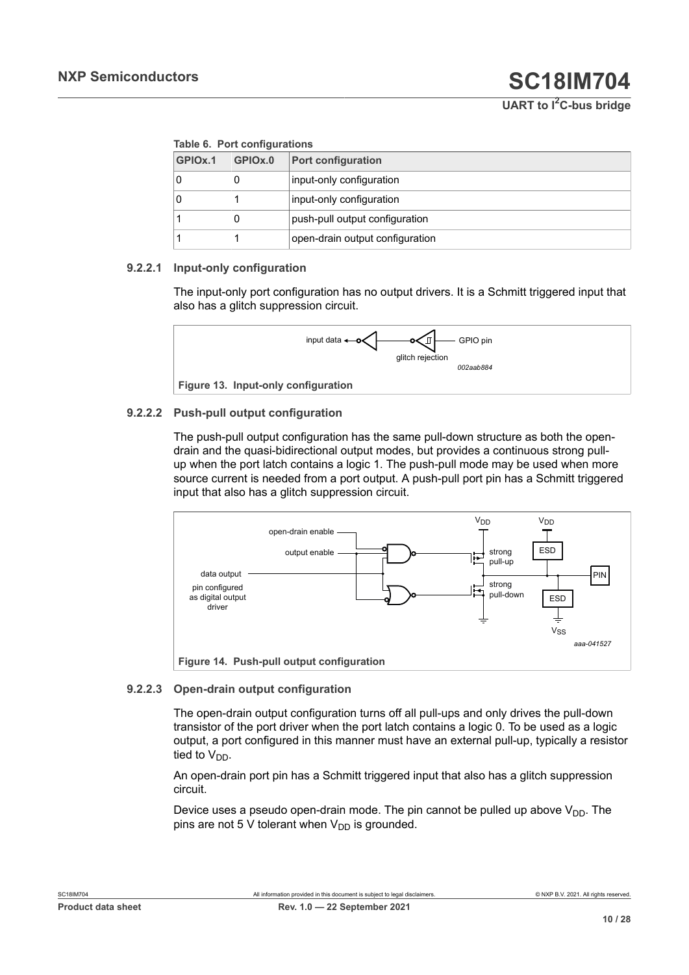**UART to I2C-bus bridge**

#### <span id="page-9-0"></span>**Table 6. Port configurations**

| GPIO <sub>x.1</sub> | GPIOx.0 | <b>Port configuration</b>       |
|---------------------|---------|---------------------------------|
|                     | U       | input-only configuration        |
|                     |         | input-only configuration        |
|                     | O       | push-pull output configuration  |
|                     |         | open-drain output configuration |

### **9.2.2.1 Input-only configuration**

<span id="page-9-3"></span>The input-only port configuration has no output drivers. It is a Schmitt triggered input that also has a glitch suppression circuit.

<span id="page-9-1"></span>

### **9.2.2.2 Push-pull output configuration**

<span id="page-9-4"></span>The push-pull output configuration has the same pull-down structure as both the opendrain and the quasi-bidirectional output modes, but provides a continuous strong pullup when the port latch contains a logic 1. The push-pull mode may be used when more source current is needed from a port output. A push-pull port pin has a Schmitt triggered input that also has a glitch suppression circuit.

<span id="page-9-2"></span>

### **9.2.2.3 Open-drain output configuration**

<span id="page-9-5"></span>The open-drain output configuration turns off all pull-ups and only drives the pull-down transistor of the port driver when the port latch contains a logic 0. To be used as a logic output, a port configured in this manner must have an external pull-up, typically a resistor tied to  $V_{DD}$ .

An open-drain port pin has a Schmitt triggered input that also has a glitch suppression circuit.

Device uses a pseudo open-drain mode. The pin cannot be pulled up above  $V_{DD}$ . The pins are not 5 V tolerant when  $V_{DD}$  is grounded.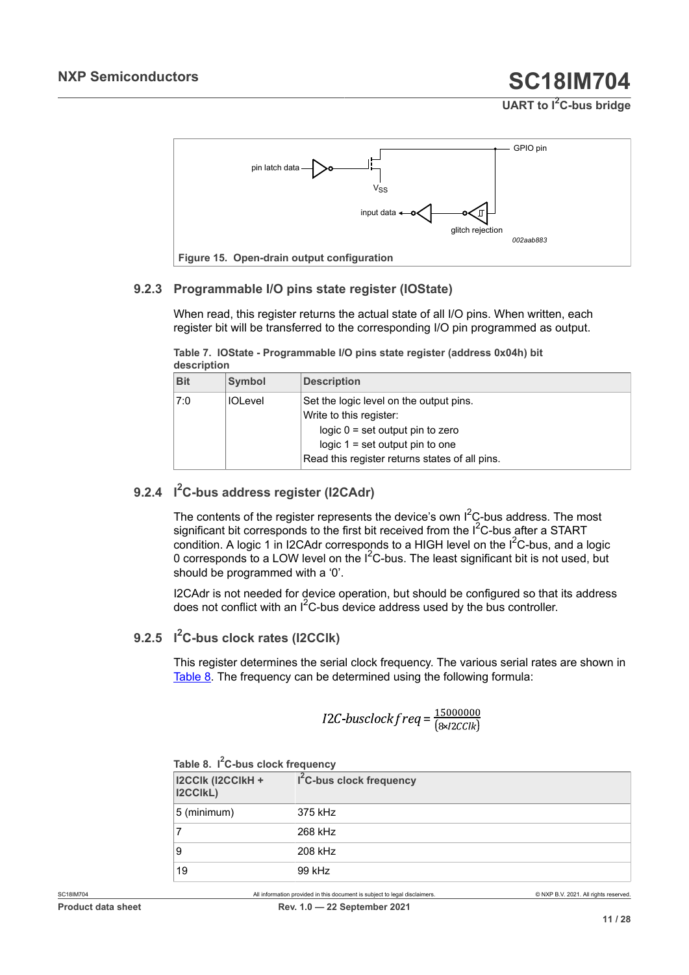<span id="page-10-3"></span>

### **9.2.3 Programmable I/O pins state register (IOState)**

<span id="page-10-4"></span>When read, this register returns the actual state of all I/O pins. When written, each register bit will be transferred to the corresponding I/O pin programmed as output.

<span id="page-10-2"></span>**Table 7. IOState - Programmable I/O pins state register (address 0x04h) bit description**

| <b>Bit</b> | Symbol         | <b>Description</b>                                                                                                                                                                              |
|------------|----------------|-------------------------------------------------------------------------------------------------------------------------------------------------------------------------------------------------|
| 7:0        | <b>IOLevel</b> | Set the logic level on the output pins.<br>Write to this register:<br>$logic 0 = set output pin to zero$<br>logic $1 = set$ output pin to one<br>Read this register returns states of all pins. |

### **9.2.4 I <sup>2</sup>C-bus address register (I2CAdr)**

<span id="page-10-5"></span>The contents of the register represents the device's own  $I^2C$ -bus address. The most significant bit corresponds to the first bit received from the  $I^2C$ -bus after a START condition. A logic 1 in I2CAdr corresponds to a HIGH level on the I<sup>2</sup>C-bus, and a logic 0 corresponds to a LOW level on the I<sup>2</sup>C-bus. The least significant bit is not used, but should be programmed with a '0'.

I2CAdr is not needed for device operation, but should be configured so that its address does not conflict with an  $I^2C$ -bus device address used by the bus controller.

### **9.2.5 I <sup>2</sup>C-bus clock rates (I2CClk)**

<span id="page-10-1"></span>This register determines the serial clock frequency. The various serial rates are shown in [Table](#page-10-0) 8. The frequency can be determined using the following formula:

$$
I2C\text{-}busclockfreq = \frac{15000000}{8 \times 12 C C I k}
$$

| I2CCIk (I2CCIkH +<br><b>I2CCIKL)</b> | I <sup>2</sup> C-bus clock frequency |
|--------------------------------------|--------------------------------------|
| 5 (minimum)                          | 375 kHz                              |
|                                      | 268 kHz                              |
| 9                                    | 208 kHz                              |
| 19                                   | 99 kHz                               |

<span id="page-10-0"></span>**Table 8. I <sup>2</sup>C-bus clock frequency**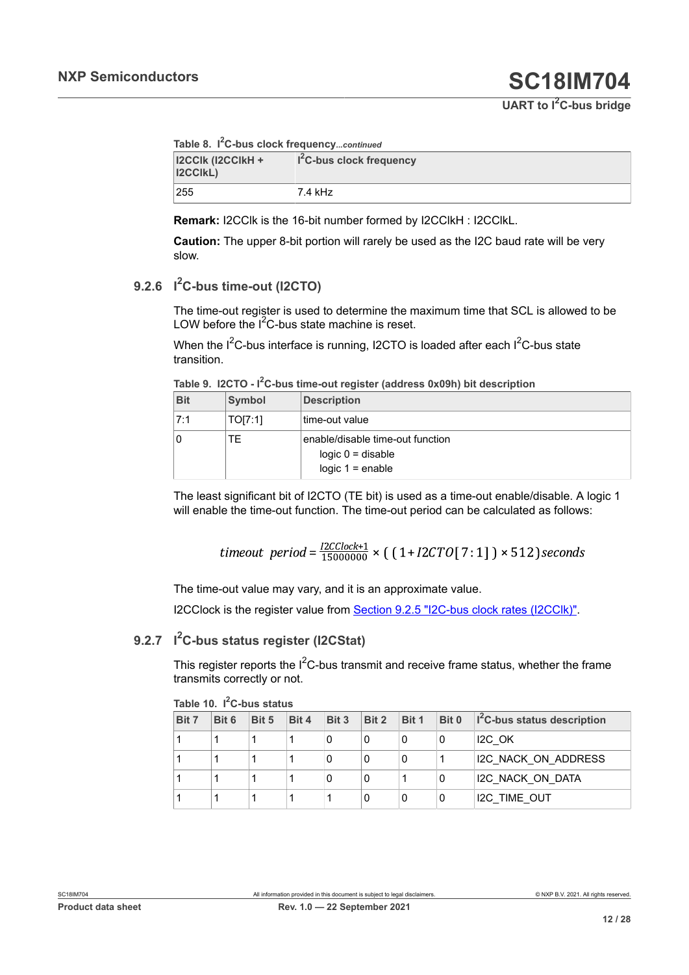```
Table 8. I
2C-bus clock frequency...continued
```

| <b>I2CCIK (I2CCIKH +</b><br><b>I2CCIKL)</b> | $I2C$ -bus clock frequency |
|---------------------------------------------|----------------------------|
| 255                                         | 7.4 kHz                    |

**Remark:** I2CClk is the 16-bit number formed by I2CClkH : I2CClkL.

**Caution:** The upper 8-bit portion will rarely be used as the I2C baud rate will be very slow.

### **9.2.6 I <sup>2</sup>C-bus time-out (I2CTO)**

<span id="page-11-2"></span>The time-out register is used to determine the maximum time that SCL is allowed to be LOW before the  $I^2C$ -bus state machine is reset.

When the I<sup>2</sup>C-bus interface is running, I2CTO is loaded after each I<sup>2</sup>C-bus state transition.

<span id="page-11-0"></span>**Table 9. I2CTO - I <sup>2</sup>C-bus time-out register (address 0x09h) bit description**

| <b>Bit</b> | Symbol  | <b>Description</b>                                                            |
|------------|---------|-------------------------------------------------------------------------------|
| 7:1        | TO[7:1] | time-out value                                                                |
| 0          | TЕ      | enable/disable time-out function<br>$logic 0 = disable$<br>logic $1 =$ enable |

The least significant bit of I2CTO (TE bit) is used as a time-out enable/disable. A logic 1 will enable the time-out function. The time-out period can be calculated as follows:

$$
timeout\ period = \frac{I2CClock+1}{15000000} \times \left( \left( 1 + I2CTO[7:1] \right) \times 512 \right) seconds
$$

The time-out value may vary, and it is an approximate value.

<span id="page-11-3"></span>I2CClock is the register value from **Section 9.2.5 "I2C-bus clock rates (I2CClk)"**.

### **9.2.7 I <sup>2</sup>C-bus status register (I2CStat)**

This register reports the  $1^2C$ -bus transmit and receive frame status, whether the frame transmits correctly or not.

| Bit 7 | Bit 6 | Bit 5 | Bit 4 | Bit 3 | Bit 2 | Bit 1 | Bit 0 | I <sup>2</sup> C-bus status description |
|-------|-------|-------|-------|-------|-------|-------|-------|-----------------------------------------|
|       |       |       |       |       | 0     | 0     | 0     | I <sub>2</sub> C OK                     |
|       |       |       |       |       | 0     | 0     |       | I2C NACK ON ADDRESS                     |
|       |       |       |       |       | 0     |       | 0     | I2C NACK ON DATA                        |
|       |       |       |       |       |       | 0     | 0     | <b>I2C TIME OUT</b>                     |

<span id="page-11-1"></span>**Table 10. I <sup>2</sup>C-bus status**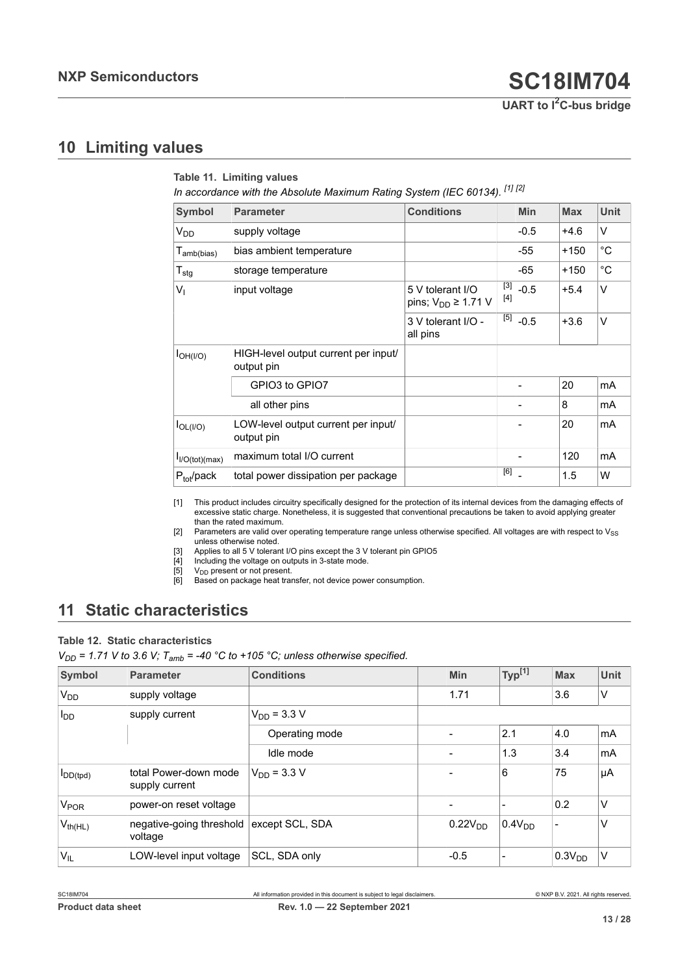## <span id="page-12-8"></span>**10 Limiting values**

<span id="page-12-5"></span><span id="page-12-4"></span><span id="page-12-3"></span><span id="page-12-2"></span>

|                             | In accordance with the Absolute Maximum Rating System (IEC 60134). [1] [2] |                                                |                |            |            |              |
|-----------------------------|----------------------------------------------------------------------------|------------------------------------------------|----------------|------------|------------|--------------|
| <b>Symbol</b>               | <b>Parameter</b>                                                           | <b>Conditions</b>                              |                | <b>Min</b> | <b>Max</b> | <b>Unit</b>  |
| $V_{DD}$                    | supply voltage                                                             |                                                |                | $-0.5$     | $+4.6$     | V            |
| $T_{\mathsf{amb(bias)}}$    | bias ambient temperature                                                   |                                                |                | -55        | +150       | $^{\circ}C$  |
| $T_{\text{stg}}$            | storage temperature                                                        |                                                |                | -65        | $+150$     | $^{\circ}$ C |
| $V_{1}$                     | input voltage                                                              | 5 V tolerant I/O<br>pins; $V_{DD} \geq 1.71$ V | $[3]$<br>$[4]$ | $-0.5$     | $+5.4$     | $\vee$       |
|                             |                                                                            | 3 V tolerant I/O -<br>all pins                 | $[5]$          | $-0.5$     | $+3.6$     | $\vee$       |
| I <sub>OH</sub> (I/O)       | HIGH-level output current per input/<br>output pin                         |                                                |                |            |            |              |
|                             | GPIO3 to GPIO7                                                             |                                                |                |            | 20         | mA           |
|                             | all other pins                                                             |                                                |                |            | 8          | mA           |
| $I_{OL( I/O)}$              | LOW-level output current per input/<br>output pin                          |                                                |                |            | 20         | mA           |
| I <sub>I/O</sub> (tot)(max) | maximum total I/O current                                                  |                                                |                |            | 120        | mA           |
| $P_{tot}/pack$              | total power dissipation per package                                        |                                                | [6]            |            | 1.5        | W            |

[1] This product includes circuitry specifically designed for the protection of its internal devices from the damaging effects of excessive static charge. Nonetheless, it is suggested that conventional precautions be taken to avoid applying greater than the rated maximum.

[2] Parameters are valid over operating temperature range unless otherwise specified. All voltages are with respect to  $V_{SS}$ unless otherwise noted.

[3] Applies to all 5 V tolerant I/O pins except the 3 V tolerant pin GPIO5<br>[4] Including the voltage on outputs in 3-state mode.<br>[5]  $V_{DD}$  present or not present.

Including the voltage on outputs in 3-state mode.

[5]  $V_{DD}$  present or not present.<br>[6] Based on package heat tran

<span id="page-12-6"></span><span id="page-12-1"></span><span id="page-12-0"></span>**Table 11. Limiting values**

<span id="page-12-7"></span>Based on package heat transfer, not device power consumption.

# <span id="page-12-9"></span>**11 Static characteristics**

#### **Table 12. Static characteristics**

 $V_{DD}$  = 1.71 V to 3.6 V;  $T_{amb}$  = -40 °C to +105 °C; unless otherwise specified.

| Symbol                 | <b>Parameter</b>                        | <b>Conditions</b> | <b>Min</b>          | Type <sup>[1]</sup> | <b>Max</b>  | <b>Unit</b> |
|------------------------|-----------------------------------------|-------------------|---------------------|---------------------|-------------|-------------|
| <b>V<sub>DD</sub></b>  | supply voltage                          |                   | 1.71                |                     | 3.6         | V           |
| <b>I</b> <sub>DD</sub> | supply current                          | $V_{DD} = 3.3 V$  |                     |                     |             |             |
|                        |                                         | Operating mode    |                     | 2.1                 | 4.0         | mA          |
|                        |                                         | Idle mode         |                     | 1.3                 | 3.4         | mA          |
| $I_{DD(tpd)}$          | total Power-down mode<br>supply current | $V_{DD} = 3.3 V$  |                     | 6                   | 75          | μA          |
| <b>V<sub>POR</sub></b> | power-on reset voltage                  |                   | -                   |                     | 0.2         | V           |
| $V_{th(HL)}$           | negative-going threshold<br>voltage     | except SCL, SDA   | 0.22V <sub>DD</sub> | 0.4V <sub>DD</sub>  |             | V           |
| $V_{IL}$               | LOW-level input voltage                 | SCL, SDA only     | $-0.5$              |                     | $0.3V_{DD}$ | V           |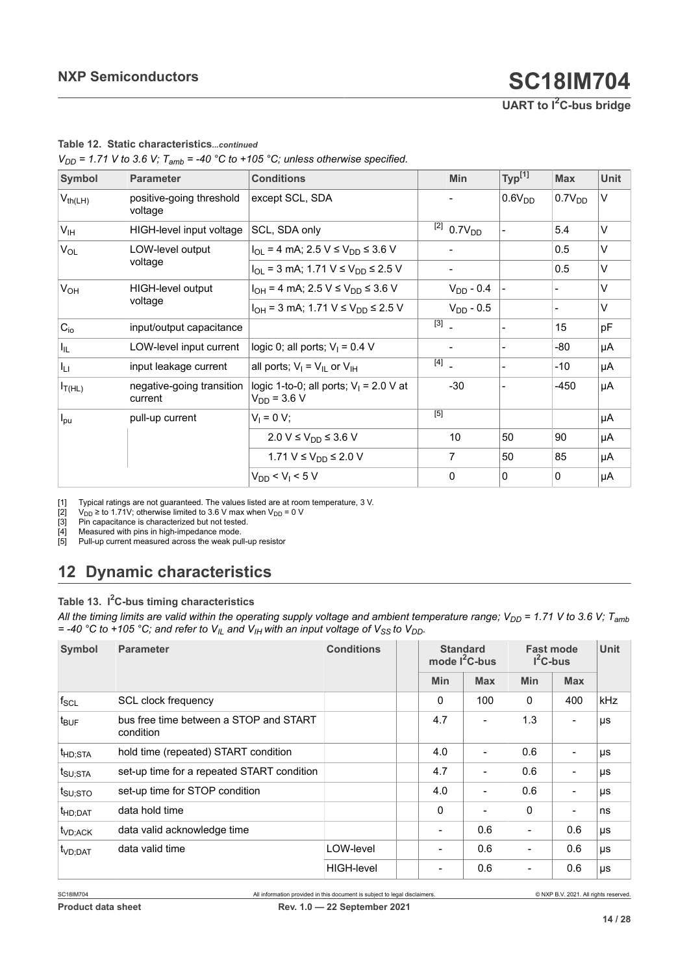**UART to I2C-bus bridge**

<span id="page-13-4"></span><span id="page-13-3"></span>

| Symbol                        | <b>Parameter</b>                     | <b>Conditions</b>                                                  |                                   | <b>Min</b>                   | Typ <sup>[1]</sup>       | <b>Max</b>   | <b>Unit</b> |
|-------------------------------|--------------------------------------|--------------------------------------------------------------------|-----------------------------------|------------------------------|--------------------------|--------------|-------------|
| $V_{th(LH)}$                  | positive-going threshold<br>voltage  | except SCL, SDA                                                    |                                   |                              | 0.6V <sub>DD</sub>       | $0.7V_{DD}$  | V           |
| V <sub>IH</sub>               | HIGH-level input voltage             | SCL, SDA only                                                      | [2]                               | 0.7V <sub>DD</sub>           |                          | 5.4          | V           |
| $V_{OL}$                      | LOW-level output                     | $I_{OL}$ = 4 mA; 2.5 V $\leq$ V <sub>DD</sub> $\leq$ 3.6 V         |                                   |                              |                          | 0.5          | V           |
|                               | voltage                              | $I_{\text{OI}}$ = 3 mA; 1.71 V $\leq$ V <sub>DD</sub> $\leq$ 2.5 V |                                   | $\qquad \qquad \blacksquare$ |                          | 0.5          | V           |
| V <sub>OH</sub>               | HIGH-level output                    | $I_{OH}$ = 4 mA; 2.5 V $\leq$ V <sub>DD</sub> $\leq$ 3.6 V         |                                   | $V_{DD}$ - 0.4               |                          |              | $\vee$      |
|                               | voltage                              | $I_{OH}$ = 3 mA; 1.71 V $\leq$ V <sub>DD</sub> $\leq$ 2.5 V        |                                   | $V_{DD}$ - 0.5               |                          |              | $\vee$      |
| $C_{i0}$                      | input/output capacitance             |                                                                    | $\boxed{3}$                       |                              |                          | 15           | pF          |
| $\vert I_{\parallel L} \vert$ | LOW-level input current              | logic 0; all ports; $V_1 = 0.4$ V                                  |                                   |                              | $\overline{\phantom{a}}$ | $-80$        | μA          |
| $I_{LI}$                      | input leakage current                | all ports; $V_I = V_{II}$ or $V_{IH}$                              | $\begin{bmatrix} 4 \end{bmatrix}$ |                              |                          | $-10$        | μA          |
| $I_{T(HL)}$                   | negative-going transition<br>current | logic 1-to-0; all ports; $V_1 = 2.0$ V at<br>$V_{DD}$ = 3.6 V      |                                   | $-30$                        |                          | -450         | μA          |
| $I_{\text{pu}}$               | pull-up current                      | $V_1 = 0 V;$                                                       | $[5]$                             |                              |                          |              | μA          |
|                               |                                      | 2.0 V ≤ $V_{DD}$ ≤ 3.6 V                                           |                                   | 10                           | 50                       | 90           | μA          |
|                               |                                      | 1.71 $V \le V_{DD} \le 2.0 V$                                      |                                   | 7                            | 50                       | 85           | μA          |
|                               |                                      | $V_{DD}$ < $V_1$ < 5 V                                             |                                   | 0                            | $\mathbf 0$              | $\mathbf{0}$ | μA          |

### <span id="page-13-0"></span>**Table 12. Static characteristics***...continued*

<span id="page-13-2"></span><span id="page-13-1"></span> $V_{DD}$  = 1.71 V to 3.6 V;  $T_{amb}$  = -40 °C to +105 °C; unless otherwise specified.

[1] Typical ratings are not guaranteed. The values listed are at room temperature, 3 V.<br>[2]  $V_{DD} \geq$  to 1.71V; otherwise limited to 3.6 V max when  $V_{DD} = 0$  V

[2]  $V_{\text{DD}} \ge \text{to } 1.71V$ ; otherwise limited to 3.6 V max when  $V_{\text{DD}} = 0 V$  [3] Pin capacitance is characterized but not tested.

[3] Pin capacitance is characterized but not tested.<br>[4] Measured with pins in high-impedance mode.<br>[5] Pull-up current measured across the weak pull-

Measured with pins in high-impedance mode. Pull-up current measured across the weak pull-up resistor

# <span id="page-13-6"></span>**12 Dynamic characteristics**

### <span id="page-13-5"></span>**Table 13. I <sup>2</sup>C-bus timing characteristics**

*All the timing limits are valid within the operating supply voltage and ambient temperature range; V<sub>DD</sub> = 1.71 V to 3.6 V; T<sub>amb</sub>*  $=$  -40 °C to +105 °C; and refer to  $V_{II}$  and  $V_{IH}$  with an input voltage of  $V_{SS}$  to  $V_{DD}$ .

| Symbol                         | <b>Parameter</b>                                    | <b>Conditions</b> |              | <b>Standard</b><br>mode $I^2C$ -bus |                          | <b>Fast mode</b><br>$I^2C$ -bus |     |
|--------------------------------|-----------------------------------------------------|-------------------|--------------|-------------------------------------|--------------------------|---------------------------------|-----|
|                                |                                                     |                   | <b>Min</b>   | <b>Max</b>                          | <b>Min</b>               | <b>Max</b>                      |     |
| $f_{SCL}$                      | SCL clock frequency                                 |                   | 0            | 100                                 | 0                        | 400                             | kHz |
| $t_{\text{BUF}}$               | bus free time between a STOP and START<br>condition |                   | 4.7          |                                     | 1.3                      | $\blacksquare$                  | μs  |
| $t$ <sub>HD;STA</sub>          | hold time (repeated) START condition                |                   | 4.0          |                                     | 0.6                      | $\qquad \qquad \blacksquare$    | μs  |
| $t_{\mathsf{SU};\mathsf{STA}}$ | set-up time for a repeated START condition          |                   | 4.7          |                                     | 0.6                      | $\blacksquare$                  | μs  |
| $t_{\mathsf{SU};\mathsf{STO}}$ | set-up time for STOP condition                      |                   | 4.0          |                                     | 0.6                      | $\overline{\phantom{a}}$        | μs  |
| t <sub>HD;DAT</sub>            | data hold time                                      |                   | $\mathbf{0}$ |                                     | $\Omega$                 | $\overline{\phantom{a}}$        | ns  |
| t <sub>VD;ACK</sub>            | data valid acknowledge time                         |                   |              | 0.6                                 | $\overline{\phantom{0}}$ | 0.6                             | μs  |
| t <sub>VD;DAT</sub>            | data valid time                                     | LOW-level         |              | 0.6                                 | $\overline{\phantom{0}}$ | 0.6                             | μs  |
|                                |                                                     | <b>HIGH-level</b> |              | 0.6                                 | $\overline{\phantom{0}}$ | 0.6                             | μs  |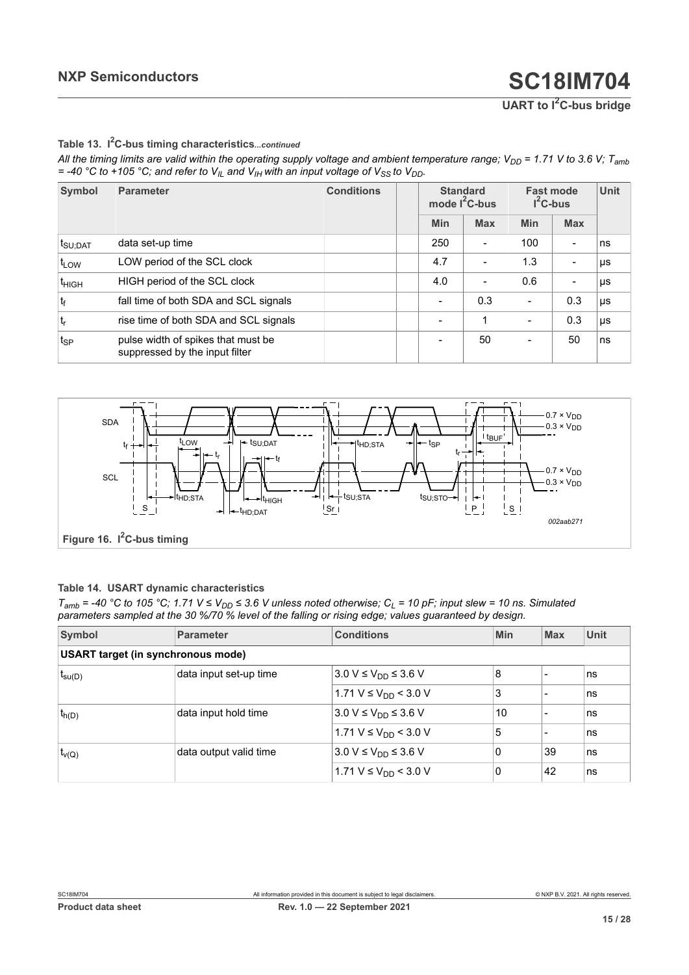**UART to I2C-bus bridge**

**Table 13. I <sup>2</sup>C-bus timing characteristics***...continued*

*All the timing limits are valid within the operating supply voltage and ambient temperature range; V<sub>DD</sub> = 1.71 V to 3.6 V; T<sub>amb</sub>*  $=$  -40 °C to +105 °C; and refer to  $V_{I\perp}$  and  $V_{I\parallel}$  with an input voltage of  $V_{SS}$  to  $V_{DD}$ .

| Symbol                           | <b>Parameter</b>                                                     | <b>Conditions</b> |            | <b>Standard</b><br>mode $I^2C$ -bus |                          | <b>Fast mode</b><br>$I^2C$ -bus |    |
|----------------------------------|----------------------------------------------------------------------|-------------------|------------|-------------------------------------|--------------------------|---------------------------------|----|
|                                  |                                                                      |                   | <b>Min</b> | <b>Max</b>                          | <b>Min</b>               | <b>Max</b>                      |    |
| $ t_{\mathsf{SU};\mathsf{DAT}} $ | data set-up time                                                     |                   | 250        |                                     | 100                      | $\overline{\phantom{a}}$        | ns |
| t <sub>LOW</sub>                 | LOW period of the SCL clock                                          |                   | 4.7        |                                     | 1.3                      | $\overline{\phantom{0}}$        | μs |
| t <sub>HIGH</sub>                | HIGH period of the SCL clock                                         |                   | 4.0        |                                     | 0.6                      | $\overline{\phantom{a}}$        | μs |
| $t_{f}$                          | fall time of both SDA and SCL signals                                |                   |            | 0.3                                 | $\overline{\phantom{0}}$ | 0.3                             | μs |
| $ t_r $                          | rise time of both SDA and SCL signals                                |                   |            | 1                                   | $\overline{\phantom{0}}$ | 0.3                             | μs |
| tsp                              | pulse width of spikes that must be<br>suppressed by the input filter |                   |            | 50                                  | $\overline{\phantom{0}}$ | 50                              | ns |

<span id="page-14-1"></span>

#### <span id="page-14-0"></span>**Table 14. USART dynamic characteristics**

 $T_{amb}$  = -40 °C to 105 °C; 1.71  $V \le V_{DD} \le 3.6$  V unless noted otherwise;  $C_L$  = 10 pF; input slew = 10 ns. Simulated *parameters sampled at the 30 %/70 % level of the falling or rising edge; values guaranteed by design.*

| Symbol                                    | <b>Parameter</b>       | <b>Conditions</b>                            | Min      | <b>Max</b>               | <b>Unit</b> |  |  |  |
|-------------------------------------------|------------------------|----------------------------------------------|----------|--------------------------|-------------|--|--|--|
| <b>USART target (in synchronous mode)</b> |                        |                                              |          |                          |             |  |  |  |
| $t_{\text{su}(D)}$                        | data input set-up time | $3.0 V \le V_{DD} \le 3.6 V$                 | 8        |                          | ns          |  |  |  |
|                                           |                        | $1.71 V \le V_{DD}$ < 3.0 V                  | 3        | $\overline{\phantom{0}}$ | ns          |  |  |  |
| $t_{h(D)}$                                | data input hold time   | $3.0 V \le V_{DD} \le 3.6 V$                 | 10       |                          | ns          |  |  |  |
|                                           |                        | $1.71$ V $\leq$ V <sub>DD</sub> $\leq$ 3.0 V | 5        |                          | ns          |  |  |  |
| $t_{v(Q)}$                                | data output valid time | $3.0 V \le V_{DD} \le 3.6 V$                 | 0        | 39                       | ns          |  |  |  |
|                                           |                        | 1.71 $V \le V_{DD}$ < 3.0 V                  | $\Omega$ | 42                       | ns          |  |  |  |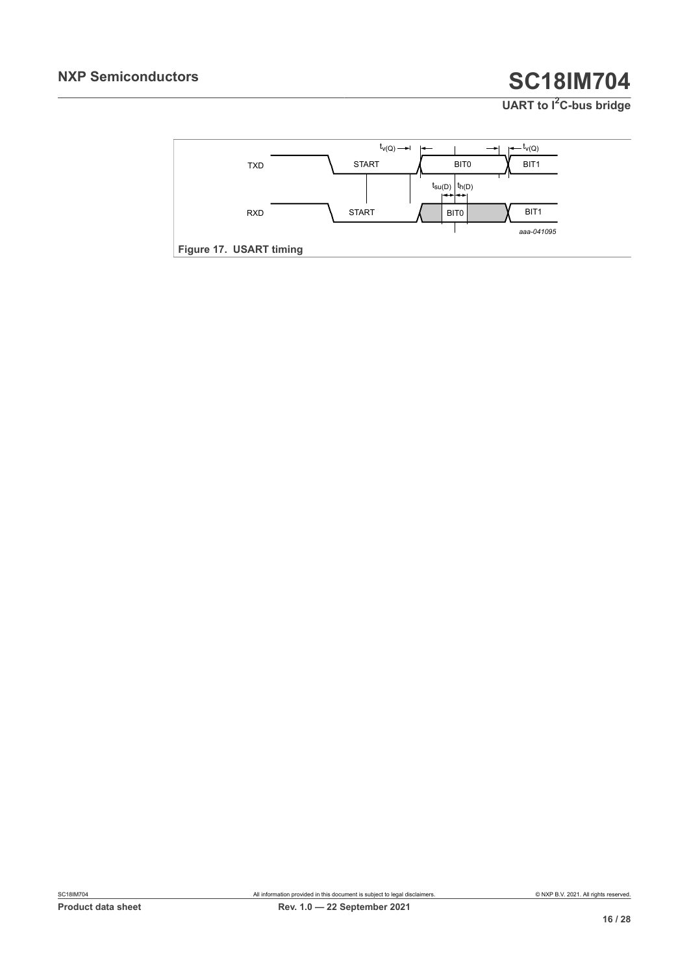<span id="page-15-0"></span>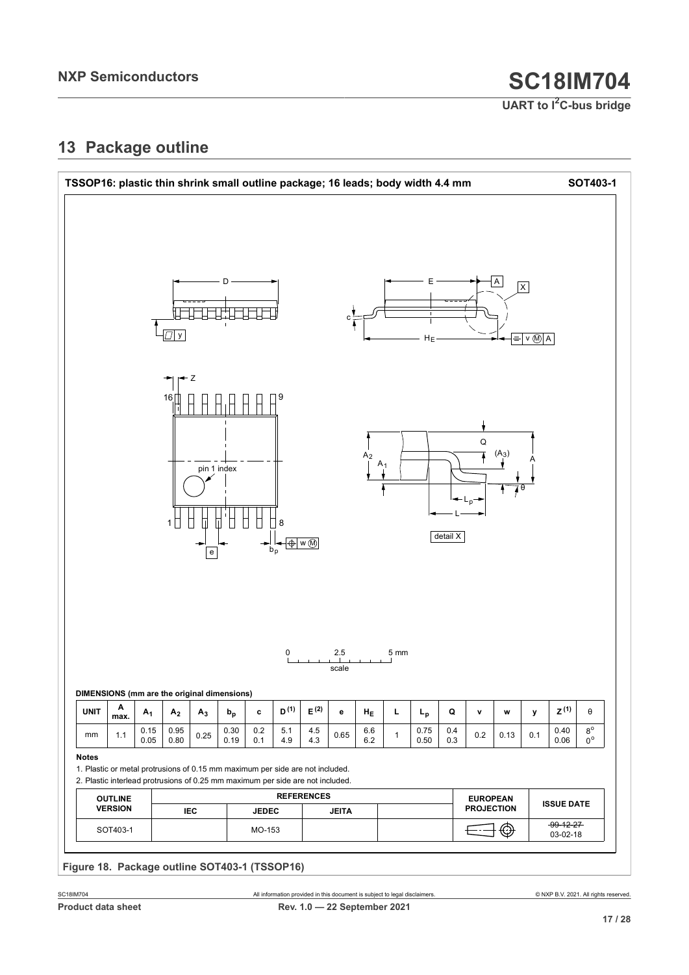**UART to I2C-bus bridge**

# <span id="page-16-1"></span>**13 Package outline**

<span id="page-16-0"></span>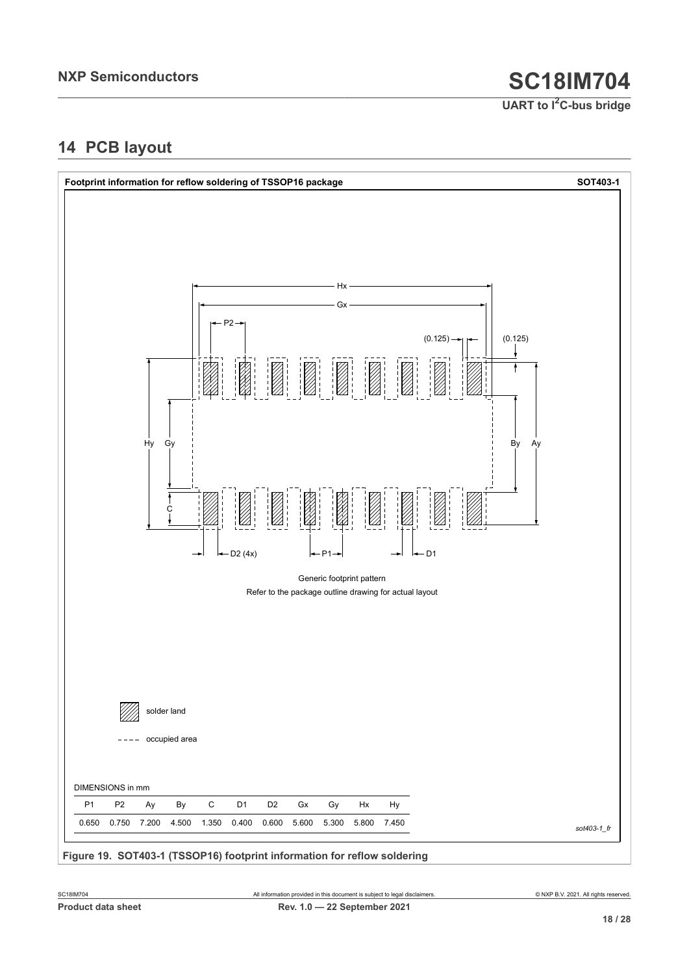**UART to I2C-bus bridge**

# <span id="page-17-1"></span>**14 PCB layout**

<span id="page-17-0"></span>

**Figure 19. SOT403-1 (TSSOP16) footprint information for reflow soldering**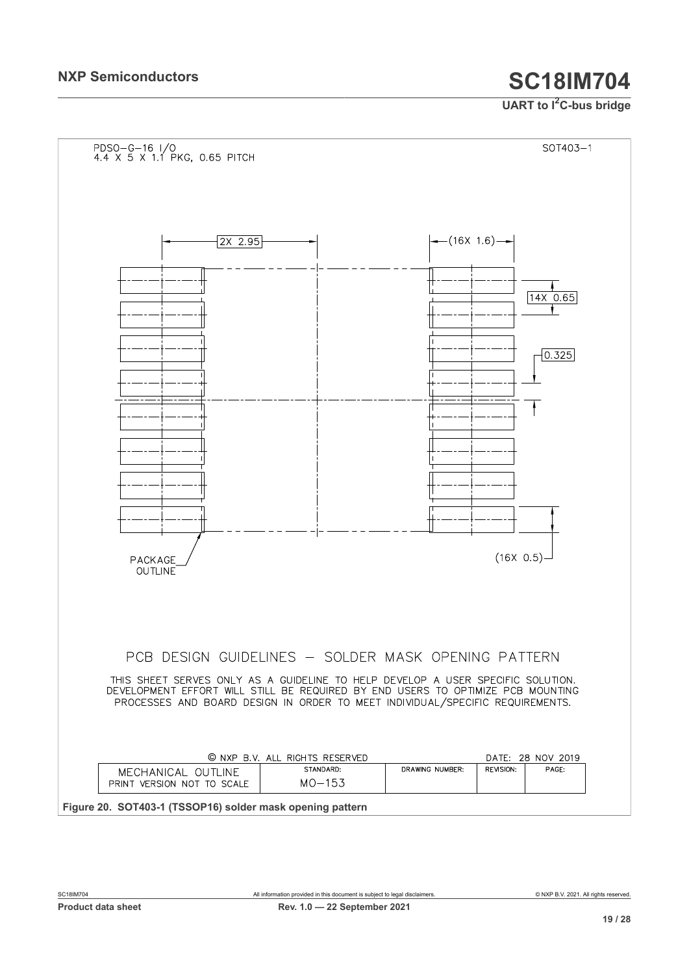<span id="page-18-0"></span>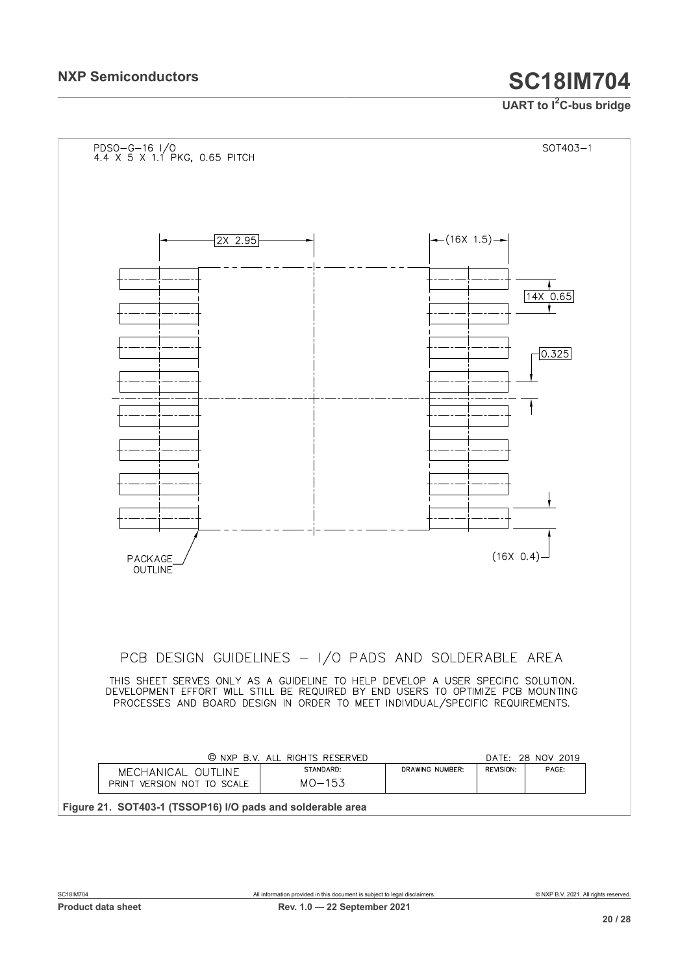<span id="page-19-0"></span>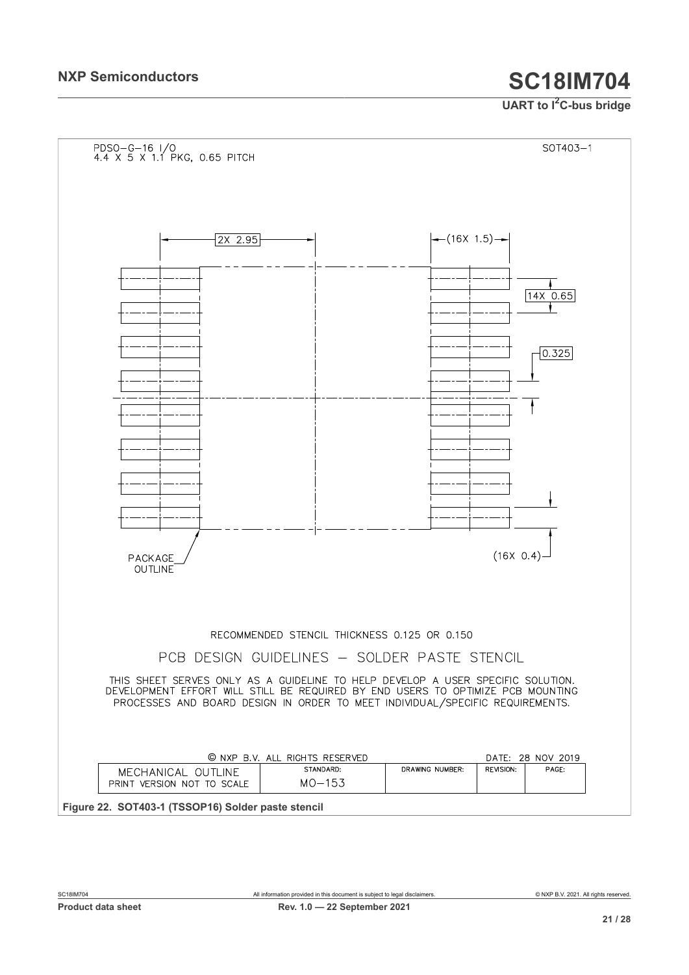<span id="page-20-0"></span>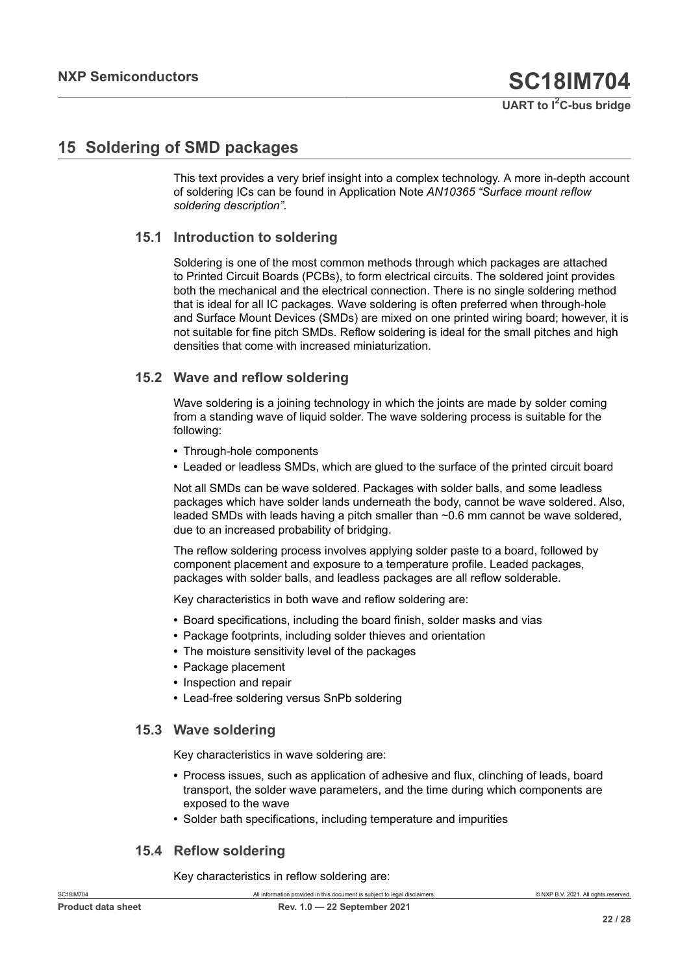# <span id="page-21-0"></span>**15 Soldering of SMD packages**

This text provides a very brief insight into a complex technology. A more in-depth account of soldering ICs can be found in Application Note *AN10365 "Surface mount reflow soldering description"*.

### **15.1 Introduction to soldering**

Soldering is one of the most common methods through which packages are attached to Printed Circuit Boards (PCBs), to form electrical circuits. The soldered joint provides both the mechanical and the electrical connection. There is no single soldering method that is ideal for all IC packages. Wave soldering is often preferred when through-hole and Surface Mount Devices (SMDs) are mixed on one printed wiring board; however, it is not suitable for fine pitch SMDs. Reflow soldering is ideal for the small pitches and high densities that come with increased miniaturization.

### **15.2 Wave and reflow soldering**

Wave soldering is a joining technology in which the joints are made by solder coming from a standing wave of liquid solder. The wave soldering process is suitable for the following:

- **•** Through-hole components
- **•** Leaded or leadless SMDs, which are glued to the surface of the printed circuit board

Not all SMDs can be wave soldered. Packages with solder balls, and some leadless packages which have solder lands underneath the body, cannot be wave soldered. Also, leaded SMDs with leads having a pitch smaller than ~0.6 mm cannot be wave soldered, due to an increased probability of bridging.

The reflow soldering process involves applying solder paste to a board, followed by component placement and exposure to a temperature profile. Leaded packages, packages with solder balls, and leadless packages are all reflow solderable.

Key characteristics in both wave and reflow soldering are:

- **•** Board specifications, including the board finish, solder masks and vias
- **•** Package footprints, including solder thieves and orientation
- **•** The moisture sensitivity level of the packages
- **•** Package placement
- **•** Inspection and repair
- **•** Lead-free soldering versus SnPb soldering

### **15.3 Wave soldering**

Key characteristics in wave soldering are:

- **•** Process issues, such as application of adhesive and flux, clinching of leads, board transport, the solder wave parameters, and the time during which components are exposed to the wave
- **•** Solder bath specifications, including temperature and impurities

### **15.4 Reflow soldering**

Key characteristics in reflow soldering are: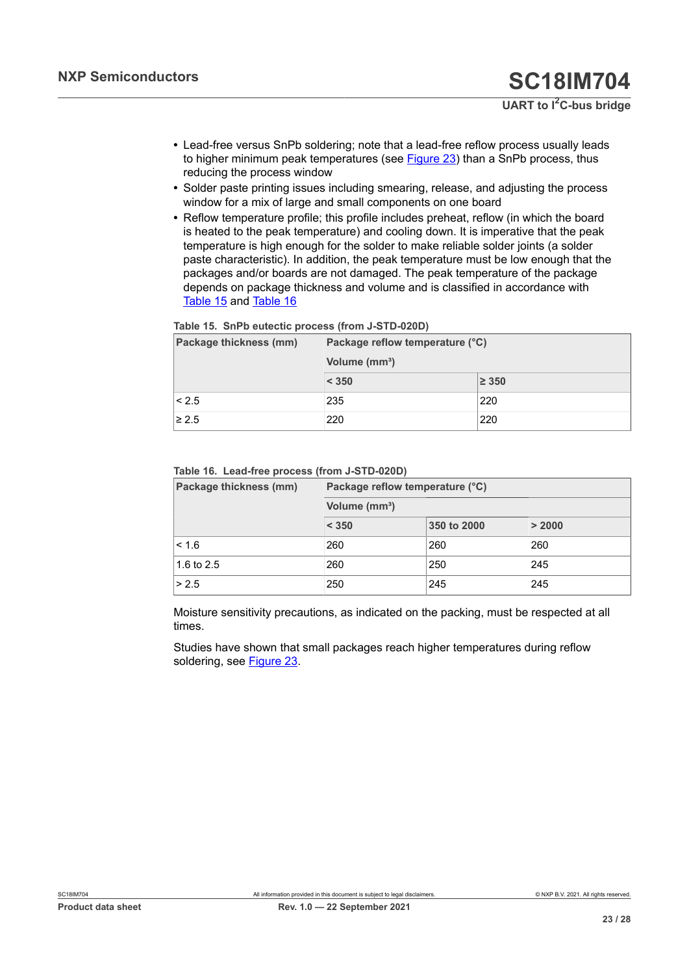- **•** Lead-free versus SnPb soldering; note that a lead-free reflow process usually leads to higher minimum peak temperatures (see [Figure 23](#page-23-0)) than a SnPb process, thus reducing the process window
- **•** Solder paste printing issues including smearing, release, and adjusting the process window for a mix of large and small components on one board
- **•** Reflow temperature profile; this profile includes preheat, reflow (in which the board is heated to the peak temperature) and cooling down. It is imperative that the peak temperature is high enough for the solder to make reliable solder joints (a solder paste characteristic). In addition, the peak temperature must be low enough that the packages and/or boards are not damaged. The peak temperature of the package depends on package thickness and volume and is classified in accordance with [Table](#page-22-0) 15 and [Table](#page-22-1) 16

#### <span id="page-22-0"></span>**Table 15. SnPb eutectic process (from J-STD-020D)**

| Package thickness (mm) | Package reflow temperature (°C) |            |  |  |
|------------------------|---------------------------------|------------|--|--|
|                        | Volume (mm <sup>3</sup> )       |            |  |  |
|                        | < 350                           | $\geq 350$ |  |  |
| < 2.5                  | 235                             | 220        |  |  |
| $\geq 2.5$             | 220                             | 220        |  |  |

#### <span id="page-22-1"></span>**Table 16. Lead-free process (from J-STD-020D)**

| Package thickness (mm) | Package reflow temperature (°C) |             |        |  |  |
|------------------------|---------------------------------|-------------|--------|--|--|
|                        | Volume (mm <sup>3</sup> )       |             |        |  |  |
|                        | < 350                           | 350 to 2000 | > 2000 |  |  |
| < 1.6                  | 260                             | 260         | 260    |  |  |
| 1.6 to $2.5$           | 260                             | 250         | 245    |  |  |
| > 2.5                  | 250                             | 245         | 245    |  |  |

Moisture sensitivity precautions, as indicated on the packing, must be respected at all times.

Studies have shown that small packages reach higher temperatures during reflow soldering, see [Figure 23](#page-23-0).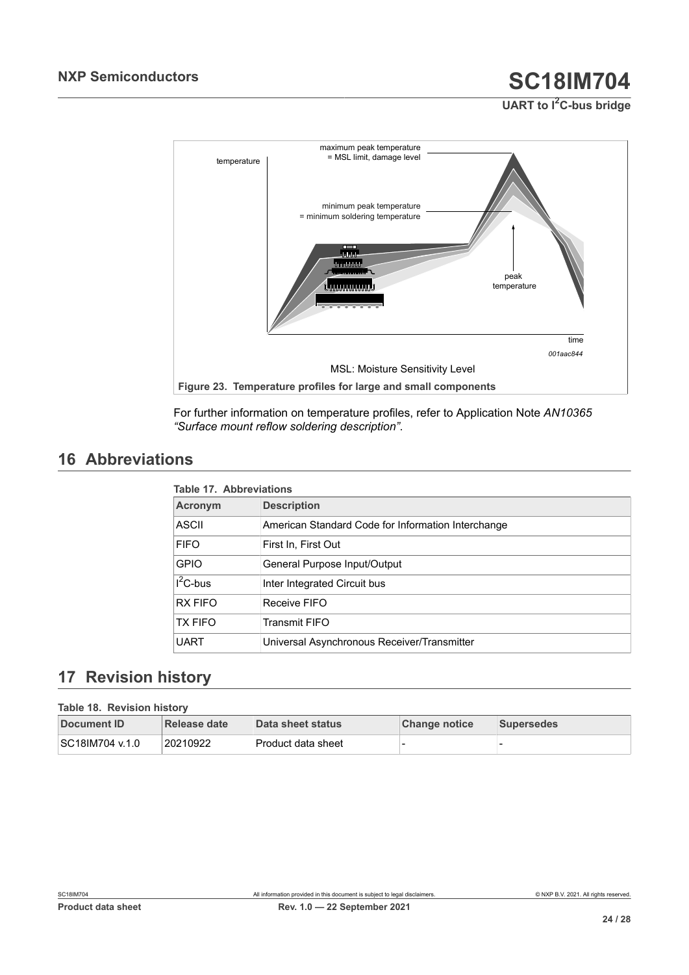# **UART to I2C-bus bridge**

<span id="page-23-0"></span>

For further information on temperature profiles, refer to Application Note *AN10365 "Surface mount reflow soldering description"*.

# <span id="page-23-3"></span>**16 Abbreviations**

<span id="page-23-1"></span>

| <b>Table 17. Abbreviations</b> |                                                    |  |
|--------------------------------|----------------------------------------------------|--|
| Acronym                        | <b>Description</b>                                 |  |
| ASCII                          | American Standard Code for Information Interchange |  |
| <b>FIFO</b>                    | First In, First Out                                |  |
| <b>GPIO</b>                    | General Purpose Input/Output                       |  |
| $I^2C$ -bus                    | Inter Integrated Circuit bus                       |  |
| <b>RX FIFO</b>                 | Receive FIFO                                       |  |
| <b>TX FIFO</b>                 | <b>Transmit FIFO</b>                               |  |
| <b>UART</b>                    | Universal Asynchronous Receiver/Transmitter        |  |

## <span id="page-23-4"></span>**17 Revision history**

#### <span id="page-23-2"></span>**Table 18. Revision history**

| Document ID     | Release date | Data sheet status    | <b>Change notice</b> | <b>Supersedes</b> |
|-----------------|--------------|----------------------|----------------------|-------------------|
| SC18IM704 v.1.0 | 20210922     | l Product data sheet |                      |                   |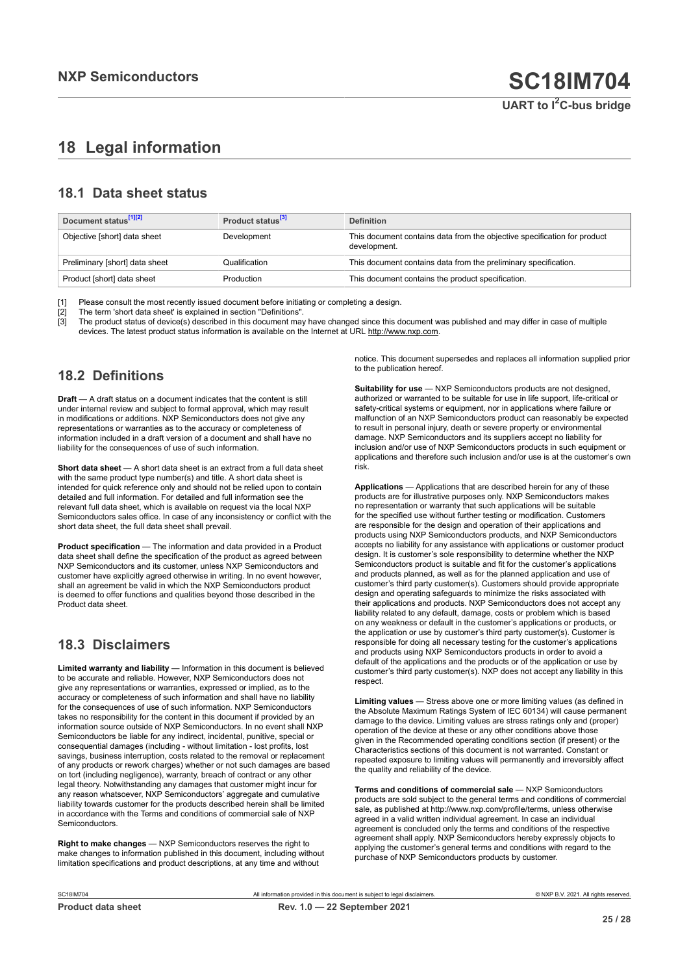# <span id="page-24-0"></span>**18 Legal information**

### **18.1 Data sheet status**

| Document status <sup>[1][2]</sup> | Product status <sup>[3]</sup> | <b>Definition</b>                                                                        |
|-----------------------------------|-------------------------------|------------------------------------------------------------------------------------------|
| Objective [short] data sheet      | Development                   | This document contains data from the objective specification for product<br>development. |
| Preliminary [short] data sheet    | Qualification                 | This document contains data from the preliminary specification.                          |
| Product [short] data sheet        | Production                    | This document contains the product specification.                                        |

[1] Please consult the most recently issued document before initiating or completing a design.<br>[2] The term 'short data sheet' is explained in section "Definitions".

t :<br>[2] The term 'short data sheet' is explained in section "Definitions".<br>[3] The product status of device(s) described in this document may

The product status of device(s) described in this document may have changed since this document was published and may differ in case of multiple devices. The latest product status information is available on the Internet at URL http://www.nxp.com.

### **18.2 Definitions**

**Draft** — A draft status on a document indicates that the content is still under internal review and subject to formal approval, which may result in modifications or additions. NXP Semiconductors does not give any representations or warranties as to the accuracy or completeness of information included in a draft version of a document and shall have no liability for the consequences of use of such information.

**Short data sheet** — A short data sheet is an extract from a full data sheet with the same product type number(s) and title. A short data sheet is intended for quick reference only and should not be relied upon to contain detailed and full information. For detailed and full information see the relevant full data sheet, which is available on request via the local NXP Semiconductors sales office. In case of any inconsistency or conflict with the short data sheet, the full data sheet shall prevail.

**Product specification** — The information and data provided in a Product data sheet shall define the specification of the product as agreed between NXP Semiconductors and its customer, unless NXP Semiconductors and customer have explicitly agreed otherwise in writing. In no event however, shall an agreement be valid in which the NXP Semiconductors product is deemed to offer functions and qualities beyond those described in the Product data sheet.

### **18.3 Disclaimers**

**Limited warranty and liability** — Information in this document is believed to be accurate and reliable. However, NXP Semiconductors does not give any representations or warranties, expressed or implied, as to the accuracy or completeness of such information and shall have no liability for the consequences of use of such information. NXP Semiconductors takes no responsibility for the content in this document if provided by an information source outside of NXP Semiconductors. In no event shall NXP Semiconductors be liable for any indirect, incidental, punitive, special or consequential damages (including - without limitation - lost profits, lost savings, business interruption, costs related to the removal or replacement of any products or rework charges) whether or not such damages are based on tort (including negligence), warranty, breach of contract or any other legal theory. Notwithstanding any damages that customer might incur for any reason whatsoever, NXP Semiconductors' aggregate and cumulative liability towards customer for the products described herein shall be limited in accordance with the Terms and conditions of commercial sale of NXP **Semiconductors** 

**Right to make changes** — NXP Semiconductors reserves the right to make changes to information published in this document, including without limitation specifications and product descriptions, at any time and without

notice. This document supersedes and replaces all information supplied prior to the publication hereof.

**Suitability for use** — NXP Semiconductors products are not designed, authorized or warranted to be suitable for use in life support, life-critical or safety-critical systems or equipment, nor in applications where failure or malfunction of an NXP Semiconductors product can reasonably be expected to result in personal injury, death or severe property or environmental damage. NXP Semiconductors and its suppliers accept no liability for inclusion and/or use of NXP Semiconductors products in such equipment or applications and therefore such inclusion and/or use is at the customer's own risk.

**Applications** — Applications that are described herein for any of these products are for illustrative purposes only. NXP Semiconductors makes no representation or warranty that such applications will be suitable for the specified use without further testing or modification. Customers are responsible for the design and operation of their applications and products using NXP Semiconductors products, and NXP Semiconductors accepts no liability for any assistance with applications or customer product design. It is customer's sole responsibility to determine whether the NXP Semiconductors product is suitable and fit for the customer's applications and products planned, as well as for the planned application and use of customer's third party customer(s). Customers should provide appropriate design and operating safeguards to minimize the risks associated with their applications and products. NXP Semiconductors does not accept any liability related to any default, damage, costs or problem which is based on any weakness or default in the customer's applications or products, or the application or use by customer's third party customer(s). Customer is responsible for doing all necessary testing for the customer's applications and products using NXP Semiconductors products in order to avoid a default of the applications and the products or of the application or use by customer's third party customer(s). NXP does not accept any liability in this respect.

**Limiting values** — Stress above one or more limiting values (as defined in the Absolute Maximum Ratings System of IEC 60134) will cause permanent damage to the device. Limiting values are stress ratings only and (proper) operation of the device at these or any other conditions above those given in the Recommended operating conditions section (if present) or the Characteristics sections of this document is not warranted. Constant or repeated exposure to limiting values will permanently and irreversibly affect the quality and reliability of the device.

**Terms and conditions of commercial sale** — NXP Semiconductors products are sold subject to the general terms and conditions of commercial sale, as published at http://www.nxp.com/profile/terms, unless otherwise agreed in a valid written individual agreement. In case an individual agreement is concluded only the terms and conditions of the respective agreement shall apply. NXP Semiconductors hereby expressly objects to applying the customer's general terms and conditions with regard to the purchase of NXP Semiconductors products by customer.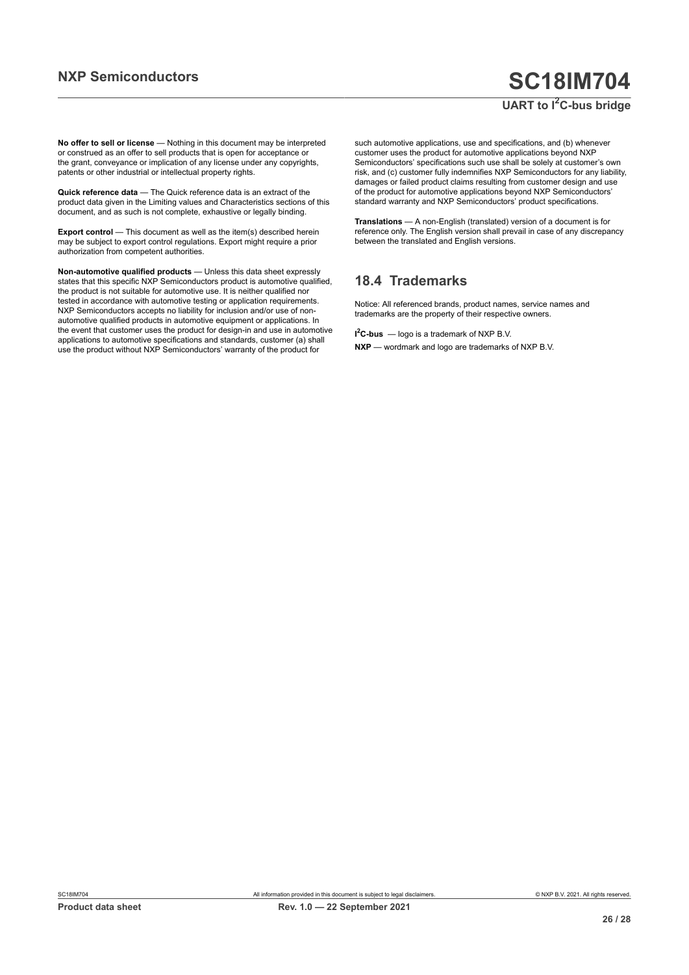### **UART to I2C-bus bridge**

**No offer to sell or license** — Nothing in this document may be interpreted or construed as an offer to sell products that is open for acceptance or the grant, conveyance or implication of any license under any copyrights, patents or other industrial or intellectual property rights.

**Quick reference data** — The Quick reference data is an extract of the product data given in the Limiting values and Characteristics sections of this document, and as such is not complete, exhaustive or legally binding.

**Export control** — This document as well as the item(s) described herein may be subject to export control regulations. Export might require a prior authorization from competent authorities.

**Non-automotive qualified products** — Unless this data sheet expressly states that this specific NXP Semiconductors product is automotive qualified, the product is not suitable for automotive use. It is neither qualified nor tested in accordance with automotive testing or application requirements. NXP Semiconductors accepts no liability for inclusion and/or use of nonautomotive qualified products in automotive equipment or applications. In the event that customer uses the product for design-in and use in automotive applications to automotive specifications and standards, customer (a) shall use the product without NXP Semiconductors' warranty of the product for

such automotive applications, use and specifications, and (b) whenever customer uses the product for automotive applications beyond NXP Semiconductors' specifications such use shall be solely at customer's own risk, and (c) customer fully indemnifies NXP Semiconductors for any liability, damages or failed product claims resulting from customer design and use of the product for automotive applications beyond NXP Semiconductors' standard warranty and NXP Semiconductors' product specifications.

**Translations** — A non-English (translated) version of a document is for reference only. The English version shall prevail in case of any discrepancy between the translated and English versions.

### **18.4 Trademarks**

Notice: All referenced brands, product names, service names and trademarks are the property of their respective owners.

**I <sup>2</sup>C-bus** — logo is a trademark of NXP B.V.

**NXP** — wordmark and logo are trademarks of NXP B.V.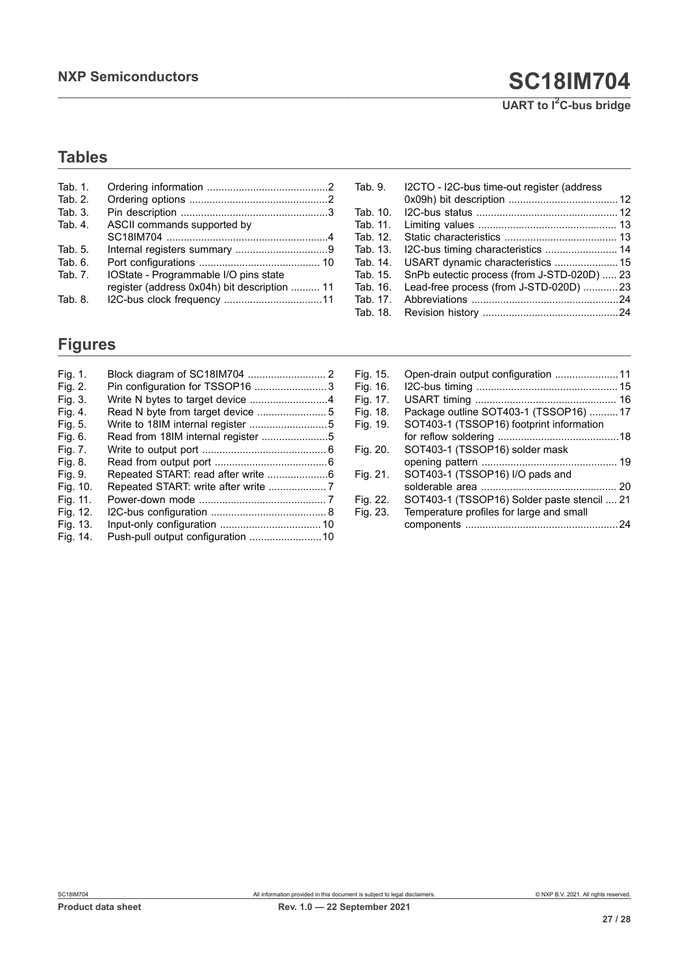**UART to I2C-bus bridge**

# **Tables**

| Tab. $1$ .<br>Tab. $21$<br>Tab. 3. |                                              |
|------------------------------------|----------------------------------------------|
| Tab. 4.                            | ASCII commands supported by                  |
|                                    |                                              |
| Tab. 5.                            |                                              |
| Tab. 6.                            |                                              |
| Tab. $71$                          | IOState - Programmable I/O pins state        |
|                                    | register (address 0x04h) bit description  11 |
| Tab. 8.                            |                                              |
|                                    |                                              |

# **Figures**

| Fig. 1.  |                                    |  |
|----------|------------------------------------|--|
| Fig. 2.  | Pin configuration for TSSOP16 3    |  |
| Fig. 3.  | Write N bytes to target device 4   |  |
| Fig. 4.  |                                    |  |
| Fig. 5.  | Write to 18IM internal register 5  |  |
| Fig. 6.  | Read from 18IM internal register 5 |  |
| Fig. 7.  |                                    |  |
| Fig. 8.  |                                    |  |
| Fig. 9.  | Repeated START: read after write 6 |  |
| Fig. 10. |                                    |  |
| Fig. 11. |                                    |  |
| Fig. 12. |                                    |  |
| Fig. 13. |                                    |  |
| Fig. 14. |                                    |  |

| Tab. 9.  | I2CTO - I2C-bus time-out register (address  |  |
|----------|---------------------------------------------|--|
|          |                                             |  |
| Tab. 10. |                                             |  |
| Tab. 11. |                                             |  |
| Tab. 12. |                                             |  |
| Tab. 13. |                                             |  |
| Tab. 14. |                                             |  |
| Tab. 15. | SnPb eutectic process (from J-STD-020D)  23 |  |
| Tab. 16. | Lead-free process (from J-STD-020D) 23      |  |
| Tab. 17. |                                             |  |
| Tab. 18. |                                             |  |

| Fig. 15. | Open-drain output configuration 11          |  |
|----------|---------------------------------------------|--|
| Fig. 16. |                                             |  |
| Fig. 17. |                                             |  |
| Fig. 18. | Package outline SOT403-1 (TSSOP16)  17      |  |
| Fig. 19. | SOT403-1 (TSSOP16) footprint information    |  |
|          |                                             |  |
| Fig. 20. | SOT403-1 (TSSOP16) solder mask              |  |
|          |                                             |  |
| Fig. 21. | SOT403-1 (TSSOP16) I/O pads and             |  |
|          |                                             |  |
| Fig. 22. | SOT403-1 (TSSOP16) Solder paste stencil  21 |  |
| Fig. 23. | Temperature profiles for large and small    |  |
|          |                                             |  |
|          |                                             |  |